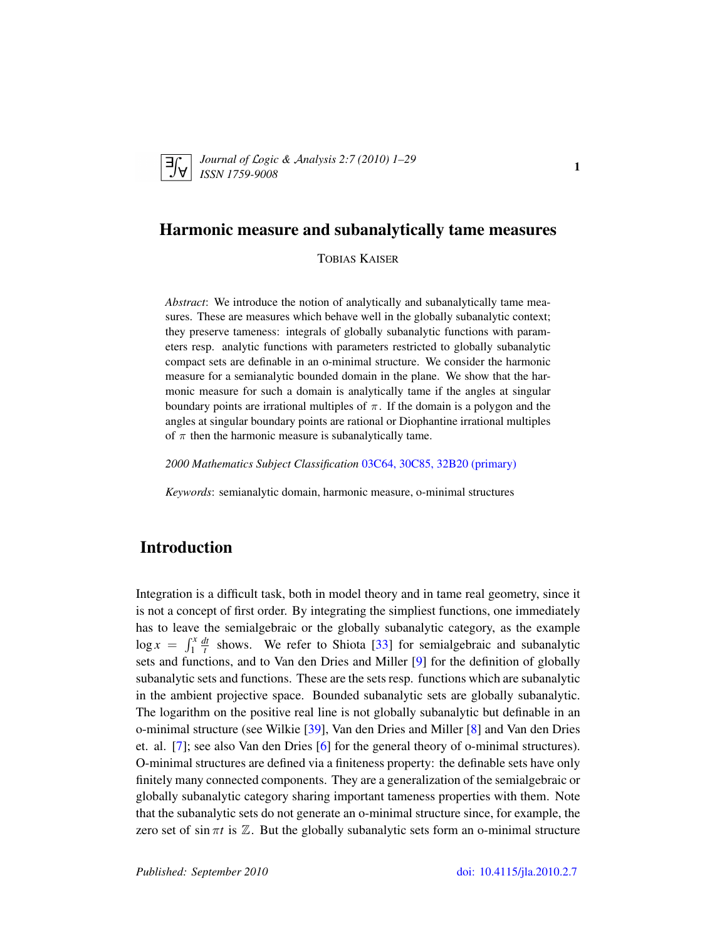<span id="page-0-0"></span>

*Journal of* L*ogic &* A*nalysis 2:7 (2010) 1–29 ISSN 1759-9008* 1

# Harmonic measure and subanalytically tame measures

TOBIAS KAISER

*Abstract*: We introduce the notion of analytically and subanalytically tame measures. These are measures which behave well in the globally subanalytic context; they preserve tameness: integrals of globally subanalytic functions with parameters resp. analytic functions with parameters restricted to globally subanalytic compact sets are definable in an o-minimal structure. We consider the harmonic measure for a semianalytic bounded domain in the plane. We show that the harmonic measure for such a domain is analytically tame if the angles at singular boundary points are irrational multiples of  $\pi$ . If the domain is a polygon and the angles at singular boundary points are rational or Diophantine irrational multiples of  $\pi$  then the harmonic measure is subanalytically tame.

*2000 Mathematics Subject Classification* [03C64, 30C85, 32B20 \(primary\)](http://www.ams.org/mathscinet/search/mscdoc.html?code=03C64, 30C85, 32B20)

*Keywords*: semianalytic domain, harmonic measure, o-minimal structures

# Introduction

Integration is a difficult task, both in model theory and in tame real geometry, since it is not a concept of first order. By integrating the simpliest functions, one immediately has to leave the semialgebraic or the globally subanalytic category, as the example  $\log x = \int_1^x$ *dt*  $\frac{dt}{t}$  shows. We refer to Shiota [\[33\]](#page-27-0) for semialgebraic and subanalytic sets and functions, and to Van den Dries and Miller [\[9\]](#page-26-0) for the definition of globally subanalytic sets and functions. These are the sets resp. functions which are subanalytic in the ambient projective space. Bounded subanalytic sets are globally subanalytic. The logarithm on the positive real line is not globally subanalytic but definable in an o-minimal structure (see Wilkie [\[39\]](#page-28-0), Van den Dries and Miller [\[8\]](#page-26-1) and Van den Dries et. al. [\[7\]](#page-26-2); see also Van den Dries [\[6\]](#page-26-3) for the general theory of o-minimal structures). O-minimal structures are defined via a finiteness property: the definable sets have only finitely many connected components. They are a generalization of the semialgebraic or globally subanalytic category sharing important tameness properties with them. Note that the subanalytic sets do not generate an o-minimal structure since, for example, the zero set of sin  $\pi t$  is  $\mathbb{Z}$ . But the globally subanalytic sets form an o-minimal structure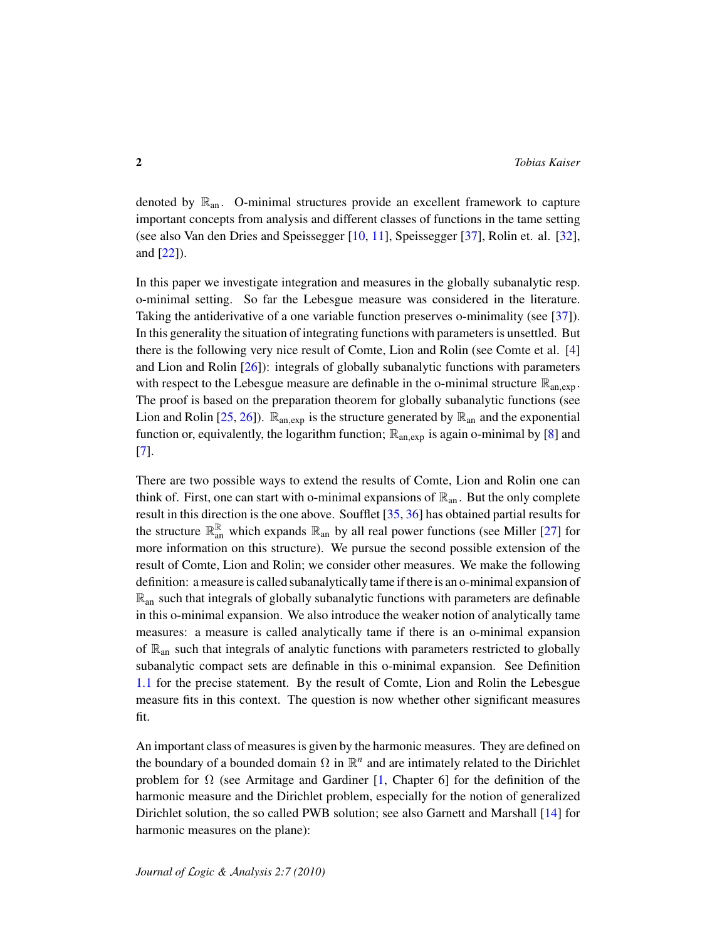denoted by  $\mathbb{R}_{an}$ . O-minimal structures provide an excellent framework to capture important concepts from analysis and different classes of functions in the tame setting (see also Van den Dries and Speissegger [\[10,](#page-26-4) [11\]](#page-26-5), Speissegger [\[37\]](#page-28-1), Rolin et. al. [\[32\]](#page-27-1), and [\[22\]](#page-27-2)).

In this paper we investigate integration and measures in the globally subanalytic resp. o-minimal setting. So far the Lebesgue measure was considered in the literature. Taking the antiderivative of a one variable function preserves o-minimality (see [\[37\]](#page-28-1)). In this generality the situation of integrating functions with parameters is unsettled. But there is the following very nice result of Comte, Lion and Rolin (see Comte et al. [\[4\]](#page-26-6) and Lion and Rolin [\[26\]](#page-27-3)): integrals of globally subanalytic functions with parameters with respect to the Lebesgue measure are definable in the o-minimal structure  $\mathbb{R}_{an,exp}$ . The proof is based on the preparation theorem for globally subanalytic functions (see Lion and Rolin [\[25,](#page-27-4) [26\]](#page-27-3)).  $\mathbb{R}_{an,exp}$  is the structure generated by  $\mathbb{R}_{an}$  and the exponential function or, equivalently, the logarithm function;  $\mathbb{R}_{an,exp}$  is again o-minimal by [\[8\]](#page-26-1) and [\[7\]](#page-26-2).

There are two possible ways to extend the results of Comte, Lion and Rolin one can think of. First, one can start with o-minimal expansions of  $\mathbb{R}_{an}$ . But the only complete result in this direction is the one above. Soufflet [\[35,](#page-27-5) [36\]](#page-28-2) has obtained partial results for the structure  $\mathbb{R}^{\mathbb{R}}_{\text{an}}$  which expands  $\mathbb{R}_{\text{an}}$  by all real power functions (see Miller [\[27\]](#page-27-6) for more information on this structure). We pursue the second possible extension of the result of Comte, Lion and Rolin; we consider other measures. We make the following definition: a measure is called subanalytically tame if there is an o-minimal expansion of  $\mathbb{R}_{\text{an}}$  such that integrals of globally subanalytic functions with parameters are definable in this o-minimal expansion. We also introduce the weaker notion of analytically tame measures: a measure is called analytically tame if there is an o-minimal expansion of  $\mathbb{R}_{an}$  such that integrals of analytic functions with parameters restricted to globally subanalytic compact sets are definable in this o-minimal expansion. See Definition [1.1](#page-3-0) for the precise statement. By the result of Comte, Lion and Rolin the Lebesgue measure fits in this context. The question is now whether other significant measures fit.

An important class of measures is given by the harmonic measures. They are defined on the boundary of a bounded domain  $\Omega$  in  $\mathbb{R}^n$  and are intimately related to the Dirichlet problem for  $\Omega$  (see Armitage and Gardiner [\[1,](#page-26-7) Chapter 6] for the definition of the harmonic measure and the Dirichlet problem, especially for the notion of generalized Dirichlet solution, the so called PWB solution; see also Garnett and Marshall [\[14\]](#page-26-8) for harmonic measures on the plane):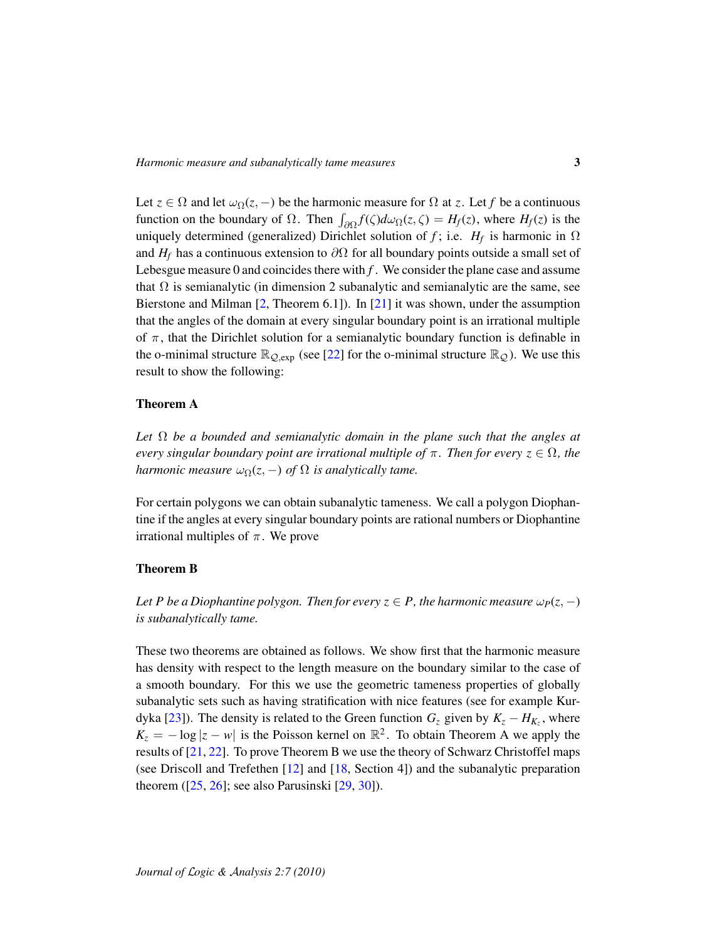Let  $z \in \Omega$  and let  $\omega_{\Omega}(z, -)$  be the harmonic measure for  $\Omega$  at *z*. Let *f* be a continuous function on the boundary of  $\Omega$ . Then  $\int_{\partial\Omega} f(\zeta) d\omega_{\Omega}(z,\zeta) = H_f(z)$ , where  $H_f(z)$  is the uniquely determined (generalized) Dirichlet solution of *f*; i.e.  $H_f$  is harmonic in  $\Omega$ and  $H_f$  has a continuous extension to  $\partial\Omega$  for all boundary points outside a small set of Lebesgue measure 0 and coincides there with  $f$ . We consider the plane case and assume that  $\Omega$  is semianalytic (in dimension 2 subanalytic and semianalytic are the same, see Bierstone and Milman [\[2,](#page-26-9) Theorem 6.1]). In [\[21\]](#page-27-7) it was shown, under the assumption that the angles of the domain at every singular boundary point is an irrational multiple of  $\pi$ , that the Dirichlet solution for a semianalytic boundary function is definable in the o-minimal structure  $\mathbb{R}_{Q,\exp}$  (see [\[22\]](#page-27-2) for the o-minimal structure  $\mathbb{R}_{Q}$ ). We use this result to show the following:

## Theorem A

*Let* Ω *be a bounded and semianalytic domain in the plane such that the angles at every singular boundary point are irrational multiple of*  $\pi$ . Then for every  $z \in \Omega$ , the *harmonic measure*  $\omega_{\Omega}(z, -)$  *of*  $\Omega$  *is analytically tame.* 

For certain polygons we can obtain subanalytic tameness. We call a polygon Diophantine if the angles at every singular boundary points are rational numbers or Diophantine irrational multiples of  $\pi$ . We prove

#### Theorem B

*Let P be a Diophantine polygon. Then for every*  $z \in P$ *, the harmonic measure*  $\omega_P(z, -)$ *is subanalytically tame.*

These two theorems are obtained as follows. We show first that the harmonic measure has density with respect to the length measure on the boundary similar to the case of a smooth boundary. For this we use the geometric tameness properties of globally subanalytic sets such as having stratification with nice features (see for example Kur-dyka [\[23\]](#page-27-8)). The density is related to the Green function  $G_z$  given by  $K_z - H_{K_z}$ , where  $K_z = -\log|z - w|$  is the Poisson kernel on  $\mathbb{R}^2$ . To obtain Theorem A we apply the results of [\[21,](#page-27-7) [22\]](#page-27-2). To prove Theorem B we use the theory of Schwarz Christoffel maps (see Driscoll and Trefethen [\[12\]](#page-26-10) and [\[18,](#page-27-9) Section 4]) and the subanalytic preparation theorem  $(25, 26)$ ; see also Parusinski  $[29, 30]$  $[29, 30]$  $[29, 30]$ ).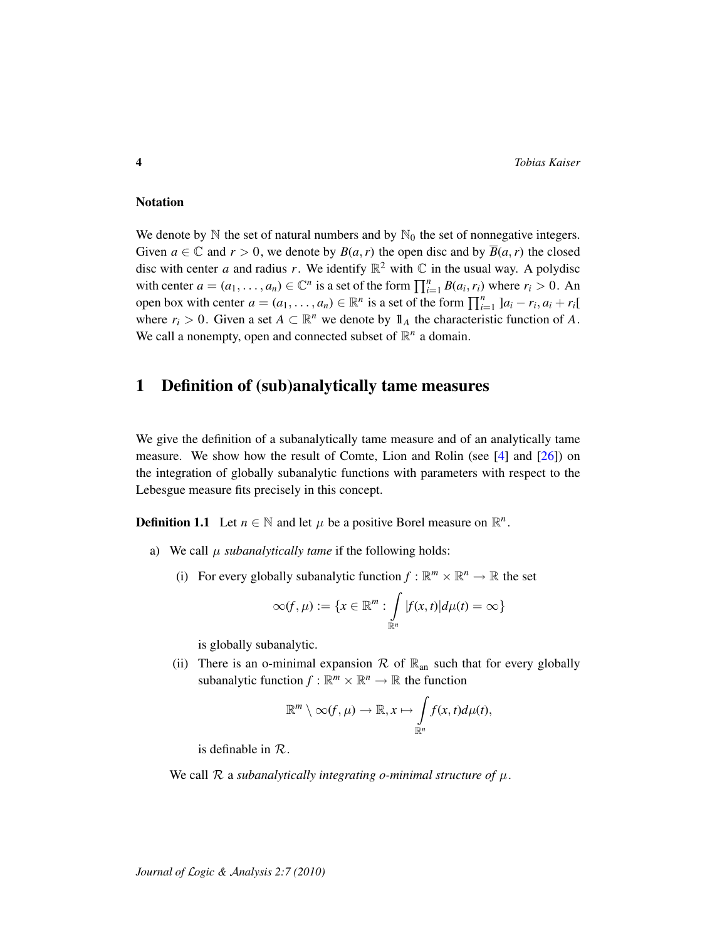## **Notation**

We denote by  $\mathbb N$  the set of natural numbers and by  $\mathbb N_0$  the set of nonnegative integers. Given  $a \in \mathbb{C}$  and  $r > 0$ , we denote by  $B(a, r)$  the open disc and by  $\overline{B}(a, r)$  the closed disc with center *a* and radius *r*. We identify  $\mathbb{R}^2$  with  $\mathbb C$  in the usual way. A polydisc with center  $a = (a_1, \ldots, a_n) \in \mathbb{C}^n$  is a set of the form  $\prod_{i=1}^n B(a_i, r_i)$  where  $r_i > 0$ . An open box with center  $a = (a_1, \ldots, a_n) \in \mathbb{R}^n$  is a set of the form  $\prod_{i=1}^n |a_i - r_i, a_i + r_i|$ where  $r_i > 0$ . Given a set  $A \subset \mathbb{R}^n$  we denote by  $\mathbb{1}_A$  the characteristic function of A. We call a nonempty, open and connected subset of  $\mathbb{R}^n$  a domain.

# 1 Definition of (sub)analytically tame measures

We give the definition of a subanalytically tame measure and of an analytically tame measure. We show how the result of Comte, Lion and Rolin (see [\[4\]](#page-26-6) and [\[26\]](#page-27-3)) on the integration of globally subanalytic functions with parameters with respect to the Lebesgue measure fits precisely in this concept.

<span id="page-3-0"></span>**Definition 1.1** Let  $n \in \mathbb{N}$  and let  $\mu$  be a positive Borel measure on  $\mathbb{R}^n$ .

- a) We call  $\mu$  *subanalytically tame* if the following holds:
	- (i) For every globally subanalytic function  $f : \mathbb{R}^m \times \mathbb{R}^n \to \mathbb{R}$  the set

$$
\infty(f,\mu) := \{x \in \mathbb{R}^m : \int_{\mathbb{R}^n} |f(x,t)| d\mu(t) = \infty\}
$$

is globally subanalytic.

(ii) There is an o-minimal expansion  $\mathcal R$  of  $\mathbb R_{an}$  such that for every globally subanalytic function  $f : \mathbb{R}^m \times \mathbb{R}^n \to \mathbb{R}$  the function

$$
\mathbb{R}^m \setminus \infty(f,\mu) \to \mathbb{R}, x \mapsto \int_{\mathbb{R}^n} f(x,t) d\mu(t),
$$

is definable in  $\mathcal{R}$ .

We call  $R$  a *subanalytically integrating o-minimal structure of*  $\mu$ .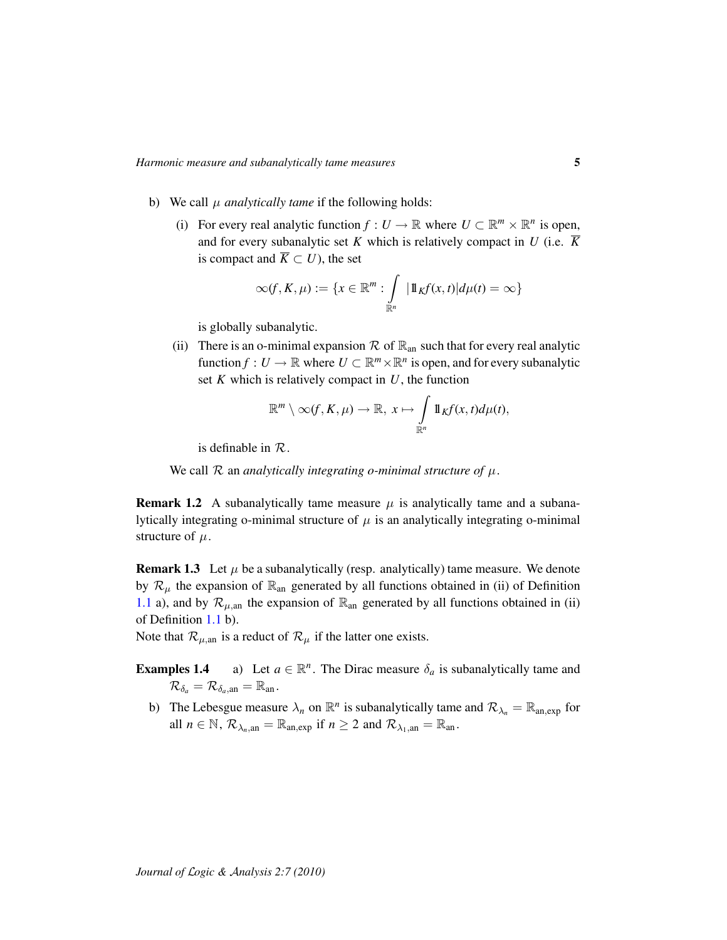- b) We call  $\mu$  *analytically tame* if the following holds:
	- (i) For every real analytic function  $f: U \to \mathbb{R}$  where  $U \subset \mathbb{R}^m \times \mathbb{R}^n$  is open, and for every subanalytic set *K* which is relatively compact in *U* (i.e.  $\overline{K}$ is compact and  $\overline{K} \subset U$ , the set

$$
\infty(f, K, \mu) := \{x \in \mathbb{R}^m : \int_{\mathbb{R}^n} |1 \mathbb{1}_K f(x, t)| d\mu(t) = \infty\}
$$

is globally subanalytic.

(ii) There is an o-minimal expansion  $\mathcal R$  of  $\mathbb R_{an}$  such that for every real analytic function  $f: U \to \mathbb{R}$  where  $U \subset \mathbb{R}^m \times \mathbb{R}^n$  is open, and for every subanalytic set *K* which is relatively compact in *U*, the function

$$
\mathbb{R}^m\setminus \infty(f,K,\mu)\to \mathbb{R},\ x\mapsto \int\limits_{\mathbb{R}^n}1\!\!1_Kf(x,t)d\mu(t),
$$

is definable in  $\mathcal{R}$ .

We call  $R$  an *analytically integrating o-minimal structure of*  $\mu$ .

**Remark 1.2** A subanalytically tame measure  $\mu$  is analytically tame and a subanalytically integrating o-minimal structure of  $\mu$  is an analytically integrating o-minimal structure of  $\mu$ .

**Remark 1.3** Let  $\mu$  be a subanalytically (resp. analytically) tame measure. We denote by  $\mathcal{R}_{\mu}$  the expansion of  $\mathbb{R}_{an}$  generated by all functions obtained in (ii) of Definition [1.1](#page-3-0) a), and by  $\mathcal{R}_{\mu,an}$  the expansion of  $\mathbb{R}_{an}$  generated by all functions obtained in (ii) of Definition [1.1](#page-3-0) b).

Note that  $\mathcal{R}_{\mu,an}$  is a reduct of  $\mathcal{R}_{\mu}$  if the latter one exists.

- **Examples 1.4** a) Let  $a \in \mathbb{R}^n$ . The Dirac measure  $\delta_a$  is subanalytically tame and  $\mathcal{R}_{\delta_a} = \mathcal{R}_{\delta_a, \text{an}} = \mathbb{R}_{\text{an}}$ .
	- b) The Lebesgue measure  $\lambda_n$  on  $\mathbb{R}^n$  is subanalytically tame and  $\mathcal{R}_{\lambda_n} = \mathbb{R}_{an, exp}$  for all  $n \in \mathbb{N}$ ,  $\mathcal{R}_{\lambda_n, \text{an}} = \mathbb{R}_{\text{an,exp}}$  if  $n \ge 2$  and  $\mathcal{R}_{\lambda_1, \text{an}} = \mathbb{R}_{\text{an}}$ .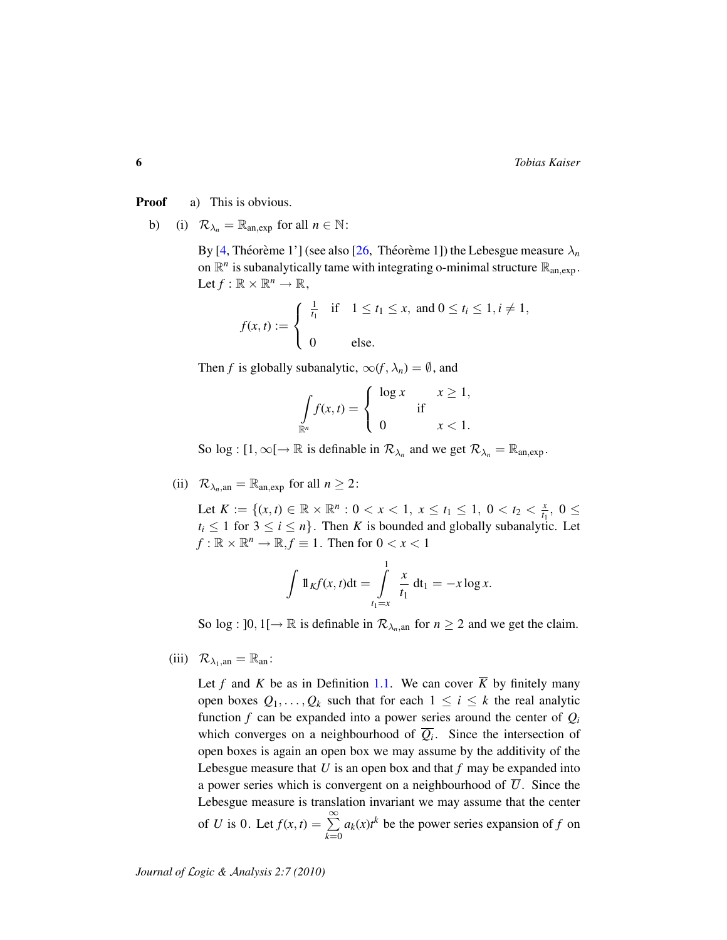**Proof** a) This is obvious.

b) (i)  $\mathcal{R}_{\lambda_n} = \mathbb{R}_{\text{an,exp}}$  for all  $n \in \mathbb{N}$ :

By [\[4,](#page-26-6) Théorème 1'] (see also [[26,](#page-27-3) Théorème 1]) the Lebesgue measure  $\lambda_n$ on  $\mathbb{R}^n$  is subanalytically tame with integrating o-minimal structure  $\mathbb{R}_{an,exp}$ . Let  $f: \mathbb{R} \times \mathbb{R}^n \to \mathbb{R}$ ,

$$
f(x,t) := \begin{cases} \frac{1}{t_1} & \text{if } 1 \le t_1 \le x, \text{ and } 0 \le t_i \le 1, i \ne 1, \\ 0 & \text{else.} \end{cases}
$$

Then *f* is globally subanalytic,  $\infty(f, \lambda_n) = \emptyset$ , and

$$
\int_{\mathbb{R}^n} f(x,t) = \begin{cases} \log x & x \ge 1, \\ 0 & x < 1. \end{cases}
$$

So log :  $[1, \infty) \to \mathbb{R}$  is definable in  $\mathcal{R}_{\lambda_n}$  and we get  $\mathcal{R}_{\lambda_n} = \mathbb{R}_{an, exp}$ .

(ii)  $\mathcal{R}_{\lambda_n, \text{an}} = \mathbb{R}_{\text{an,exp}}$  for all  $n \geq 2$ :

Let  $K := \{(x, t) \in \mathbb{R} \times \mathbb{R}^n : 0 < x < 1, x \leq t_1 \leq 1, 0 < t_2 < \frac{x}{t_1} \}$  $\frac{x}{t_1}$ , 0  $\leq$  $t_i \leq 1$  for  $3 \leq i \leq n$ . Then *K* is bounded and globally subanalytic. Let  $f: \mathbb{R} \times \mathbb{R}^n \to \mathbb{R}, f \equiv 1$ . Then for  $0 < x < 1$ 

$$
\int \mathbb{1}_{K} f(x, t) dt = \int_{t_1=x}^{1} \frac{x}{t_1} dt_1 = -x \log x.
$$

So log :  $]0, 1[ \rightarrow \mathbb{R}$  is definable in  $\mathcal{R}_{\lambda_n, \text{an}}$  for  $n \geq 2$  and we get the claim.

(iii)  $\mathcal{R}_{\lambda_1, \text{an}} = \mathbb{R}_{\text{an}}$ :

Let *f* and *K* be as in Definition [1.1.](#page-3-0) We can cover  $\overline{K}$  by finitely many open boxes  $Q_1, \ldots, Q_k$  such that for each  $1 \leq i \leq k$  the real analytic function  $f$  can be expanded into a power series around the center of  $Q_i$ which converges on a neighbourhood of  $Q_i$ . Since the intersection of open boxes is again an open box we may assume by the additivity of the Lebesgue measure that *U* is an open box and that *f* may be expanded into a power series which is convergent on a neighbourhood of  $\overline{U}$ . Since the Lebesgue measure is translation invariant we may assume that the center of *U* is 0. Let  $f(x, t) = \sum_{n=1}^{\infty}$ *k*=0  $a_k(x)t^k$  be the power series expansion of *f* on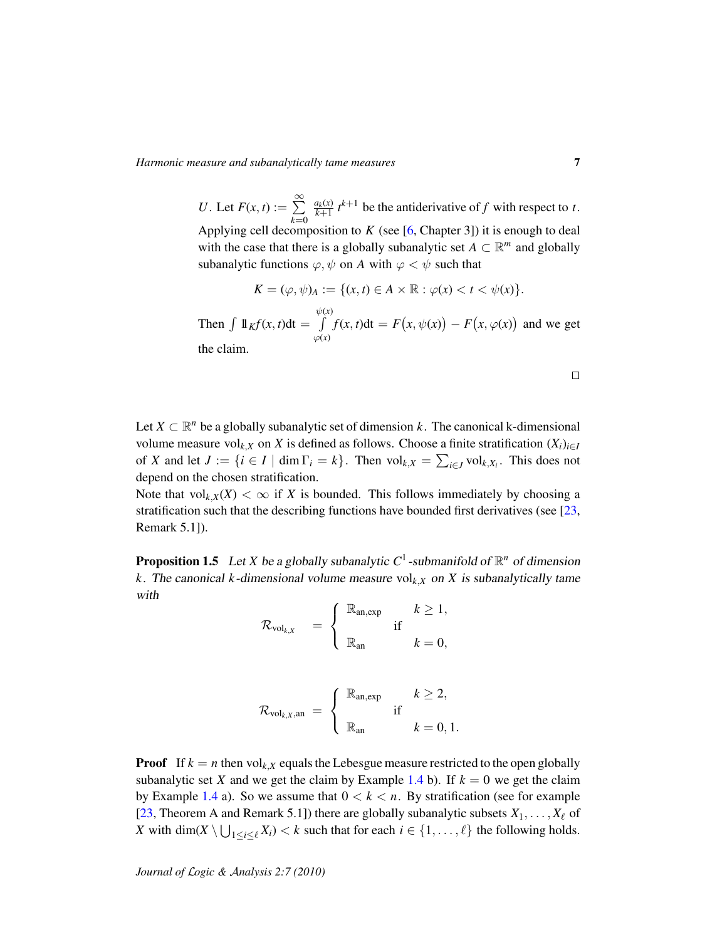*U*. Let  $F(x, t) := \sum^{\infty}$ *k*=0  $\frac{a_k(x)}{k+1} t^{k+1}$  be the antiderivative of *f* with respect to *t*. Applying cell decomposition to  $K$  (see [\[6,](#page-26-3) Chapter 3]) it is enough to deal with the case that there is a globally subanalytic set  $A \subset \mathbb{R}^m$  and globally subanalytic functions  $\varphi, \psi$  on A with  $\varphi < \psi$  such that

$$
K = (\varphi, \psi)_A := \{(x, t) \in A \times \mathbb{R} : \varphi(x) < t < \psi(x)\}.
$$

Then  $\int \mathbb{1}_K f(x, t) dt =$  $\psi(x)$ R  $\varphi(x)$  $f(x, t)dt = F(x, \psi(x)) - F(x, \varphi(x))$  and we get the claim.

Let  $X \subset \mathbb{R}^n$  be a globally subanalytic set of dimension k. The canonical k-dimensional volume measure vol<sub>k,*X*</sub> on *X* is defined as follows. Choose a finite stratification  $(X_i)_{i \in I}$ of *X* and let  $J := \{i \in I \mid \dim \Gamma_i = k\}$ . Then  $\text{vol}_{k,X} = \sum_{i \in J} \text{vol}_{k,X_i}$ . This does not depend on the chosen stratification.

Note that  $\text{vol}_{k,X}(X) < \infty$  if *X* is bounded. This follows immediately by choosing a stratification such that the describing functions have bounded first derivatives (see [\[23,](#page-27-8) Remark 5.1]).

<span id="page-6-0"></span>**Proposition 1.5** Let *X* be a globally subanalytic  $C^1$ -submanifold of  $\mathbb{R}^n$  of dimension *k*. The canonical *k*-dimensional volume measure vol $_{k,X}$  on *X* is subanalytically tame with

$$
\mathcal{R}_{\text{vol}_{k,X}} = \begin{cases} \mathbb{R}_{\text{an,exp}} & k \ge 1, \\ \mathbb{R}_{\text{an}} & k = 0, \end{cases}
$$

$$
\mathcal{R}_{\text{vol}_{k,X},\text{an}} = \begin{cases} \mathbb{R}_{\text{an,exp}} & k \geq 2, \\ \mathbb{R}_{\text{an}} & k = 0, 1. \end{cases}
$$

**Proof** If  $k = n$  then vol<sub>k</sub>,*x* equals the Lebesgue measure restricted to the open globally subanalytic set *X* and we get the claim by Example [1.4](#page-0-0) b). If  $k = 0$  we get the claim by Example [1.4](#page-0-0) a). So we assume that  $0 < k < n$ . By stratification (see for example [\[23,](#page-27-8) Theorem A and Remark 5.1]) there are globally subanalytic subsets  $X_1, \ldots, X_\ell$  of *X* with dim(*X*  $\setminus \bigcup_{1 \le i \le \ell} X_i$ ) < *k* such that for each  $i \in \{1, ..., \ell\}$  the following holds.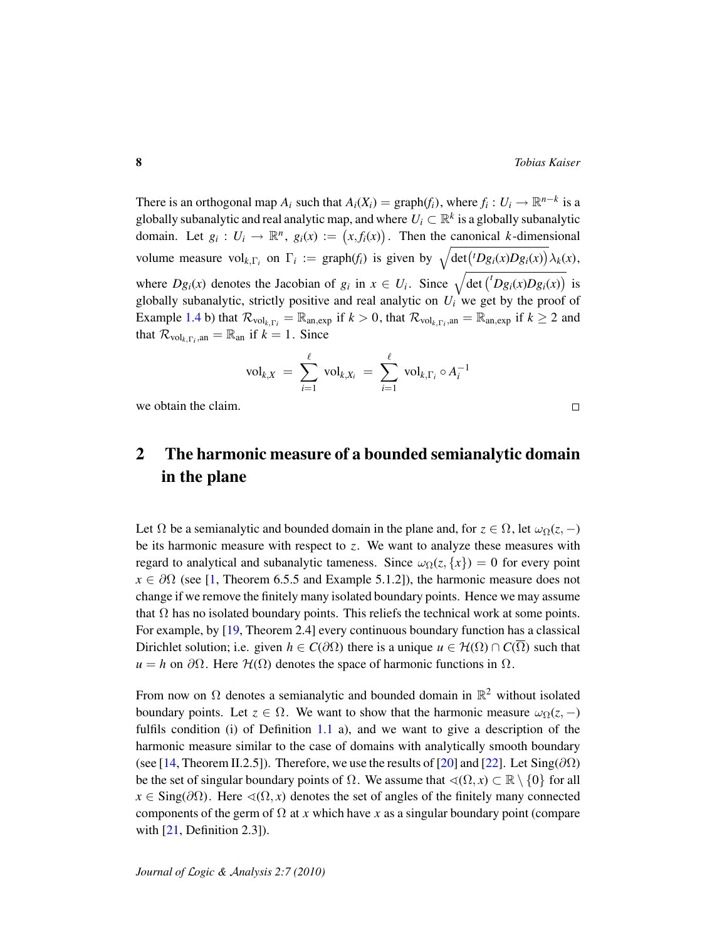There is an orthogonal map  $A_i$  such that  $A_i(X_i) = \text{graph}(f_i)$ , where  $f_i: U_i \to \mathbb{R}^{n-k}$  is a globally subanalytic and real analytic map, and where  $U_i\subset\mathbb{R}^k$  is a globally subanalytic domain. Let  $g_i: U_i \to \mathbb{R}^n$ ,  $g_i(x) := (x, f_i(x))$ . Then the canonical *k*-dimensional volume measure vol<sub>k,Γ*i*</sub> on  $\Gamma_i := \text{graph}(f_i)$  is given by  $\sqrt{\det({}^tDg_i(x)Dg_i(x))} \lambda_k(x)$ , where  $Dg_i(x)$  denotes the Jacobian of  $g_i$  in  $x \in U_i$ . Since  $\sqrt{\det({}^t Dg_i(x)Dg_i(x))}$  is globally subanalytic, strictly positive and real analytic on  $U_i$  we get by the proof of Example [1.4](#page-0-0) b) that  $\mathcal{R}_{\text{vol}_{k,\Gamma_i}} = \mathbb{R}_{\text{an,exp}}$  if  $k > 0$ , that  $\mathcal{R}_{\text{vol}_{k,\Gamma_i},\text{an}} = \mathbb{R}_{\text{an,exp}}$  if  $k \ge 2$  and that  $\mathcal{R}_{\text{vol}_{k,\Gamma_i},\text{an}} = \mathbb{R}_{\text{an}}$  if  $k = 1$ . Since

$$
\mathrm{vol}_{k,X} = \sum_{i=1}^{\ell} \mathrm{vol}_{k,X_i} = \sum_{i=1}^{\ell} \mathrm{vol}_{k,\Gamma_i} \circ A_i^{-1}
$$

we obtain the claim.

# <span id="page-7-0"></span>2 The harmonic measure of a bounded semianalytic domain in the plane

Let  $\Omega$  be a semianalytic and bounded domain in the plane and, for  $z \in \Omega$ , let  $\omega_{\Omega}(z, -)$ be its harmonic measure with respect to  $z$ . We want to analyze these measures with regard to analytical and subanalytic tameness. Since  $\omega_{\Omega}(z, \{x\}) = 0$  for every point  $x \in \partial\Omega$  (see [\[1,](#page-26-7) Theorem 6.5.5 and Example 5.1.2]), the harmonic measure does not change if we remove the finitely many isolated boundary points. Hence we may assume that  $\Omega$  has no isolated boundary points. This reliefs the technical work at some points. For example, by [\[19,](#page-27-12) Theorem 2.4] every continuous boundary function has a classical Dirichlet solution; i.e. given  $h \in C(\partial\Omega)$  there is a unique  $u \in H(\Omega) \cap C(\overline{\Omega})$  such that  $u = h$  on  $\partial\Omega$ . Here  $\mathcal{H}(\Omega)$  denotes the space of harmonic functions in  $\Omega$ .

From now on  $\Omega$  denotes a semianalytic and bounded domain in  $\mathbb{R}^2$  without isolated boundary points. Let  $z \in \Omega$ . We want to show that the harmonic measure  $\omega_{\Omega}(z, -)$ fulfils condition (i) of Definition [1.1](#page-3-0) a), and we want to give a description of the harmonic measure similar to the case of domains with analytically smooth boundary (see [\[14,](#page-26-8) Theorem II.2.5]). Therefore, we use the results of [\[20\]](#page-27-13) and [\[22\]](#page-27-2). Let Sing( $\partial\Omega$ ) be the set of singular boundary points of  $\Omega$ . We assume that  $\triangleleft(\Omega, x) \subset \mathbb{R} \setminus \{0\}$  for all  $x \in \text{Sing}(\partial \Omega)$ . Here  $\triangleleft(\Omega, x)$  denotes the set of angles of the finitely many connected components of the germ of  $\Omega$  at *x* which have *x* as a singular boundary point (compare with  $[21,$  Definition 2.3]).

 $\Box$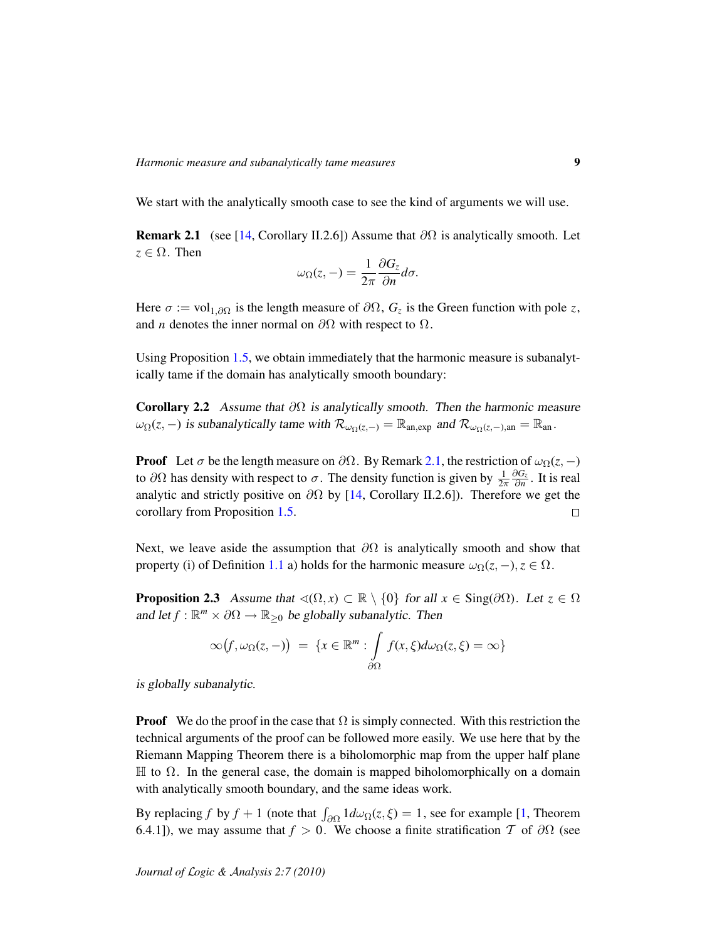We start with the analytically smooth case to see the kind of arguments we will use.

<span id="page-8-0"></span>**Remark 2.1** (see [\[14,](#page-26-8) Corollary II.2.6]) Assume that  $\partial\Omega$  is analytically smooth. Let  $z \in \Omega$ . Then

$$
\omega_{\Omega}(z,-) = \frac{1}{2\pi} \frac{\partial G_z}{\partial n} d\sigma.
$$

Here  $\sigma := \text{vol}_{1,\partial\Omega}$  is the length measure of  $\partial\Omega$ ,  $G_z$  is the Green function with pole *z*, and *n* denotes the inner normal on  $\partial\Omega$  with respect to  $\Omega$ .

Using Proposition [1.5,](#page-6-0) we obtain immediately that the harmonic measure is subanalytically tame if the domain has analytically smooth boundary:

Corollary 2.2 Assume that  $\partial\Omega$  is analytically smooth. Then the harmonic measure  $\omega_{\Omega}(z, -)$  is subanalytically tame with  $\mathcal{R}_{\omega_{\Omega}(z, -)} = \mathbb{R}_{\text{an,exp}}$  and  $\mathcal{R}_{\omega_{\Omega}(z, -), \text{an}} = \mathbb{R}_{\text{an}}$ .

**Proof** Let  $\sigma$  be the length measure on  $\partial\Omega$ . By Remark [2.1,](#page-8-0) the restriction of  $\omega_{\Omega}(z, -)$ ∂*G<sup>z</sup>* to  $\partial\Omega$  has density with respect to  $\sigma$ . The density function is given by  $\frac{1}{2\pi}$  $\frac{\partial G_z}{\partial n}$ . It is real analytic and strictly positive on  $\partial\Omega$  by [\[14,](#page-26-8) Corollary II.2.6]). Therefore we get the corollary from Proposition [1.5.](#page-6-0)  $\Box$ 

Next, we leave aside the assumption that  $\partial\Omega$  is analytically smooth and show that property (i) of Definition [1.1](#page-3-0) a) holds for the harmonic measure  $\omega_{\Omega}(z, -), z \in \Omega$ .

<span id="page-8-1"></span>**Proposition 2.3** Assume that  $\triangleleft(\Omega, x) \subset \mathbb{R} \setminus \{0\}$  for all  $x \in Sing(\partial\Omega)$ . Let  $z \in \Omega$ and let  $f : \mathbb{R}^m \times \partial\Omega \to \mathbb{R}_{\geq 0}$  be globally subanalytic. Then

$$
\infty(f,\omega_{\Omega}(z,-)) = \{x \in \mathbb{R}^m : \int_{\partial\Omega} f(x,\xi)d\omega_{\Omega}(z,\xi) = \infty\}
$$

is globally subanalytic.

**Proof** We do the proof in the case that  $\Omega$  is simply connected. With this restriction the technical arguments of the proof can be followed more easily. We use here that by the Riemann Mapping Theorem there is a biholomorphic map from the upper half plane  $\mathbb H$  to  $\Omega$ . In the general case, the domain is mapped biholomorphically on a domain with analytically smooth boundary, and the same ideas work.

By replacing *f* by  $f + 1$  (note that  $\int_{\partial \Omega} 1 d\omega_{\Omega}(z, \xi) = 1$ , see for example [\[1,](#page-26-7) Theorem 6.4.1]), we may assume that  $f > 0$ . We choose a finite stratification T of  $\partial\Omega$  (see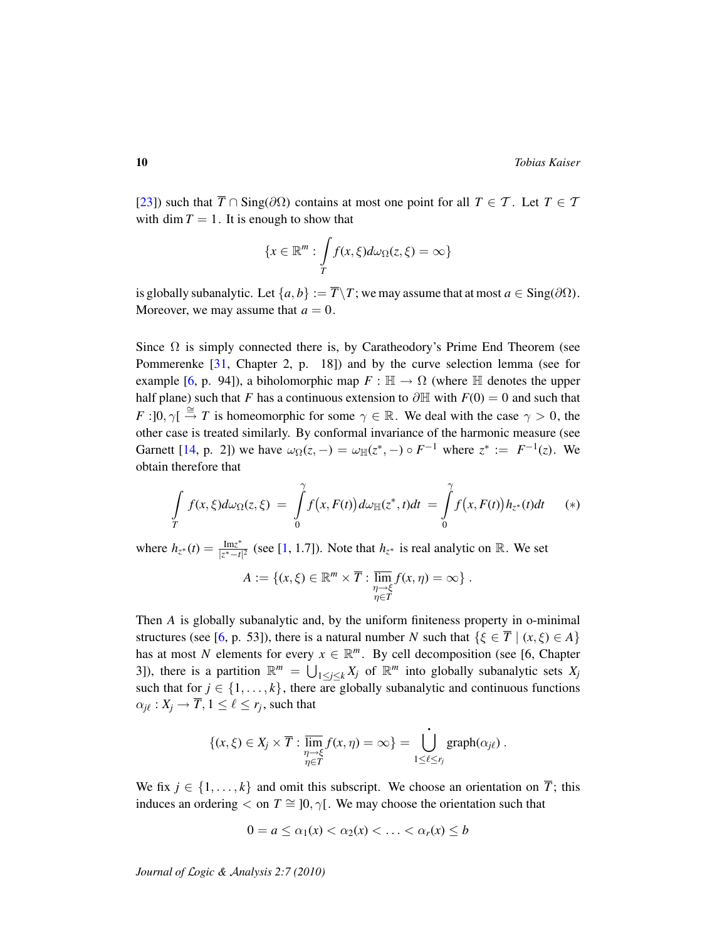[\[23\]](#page-27-8)) such that  $\overline{T} \cap \text{Sing}(\partial \Omega)$  contains at most one point for all  $T \in \mathcal{T}$ . Let  $T \in \mathcal{T}$ with dim  $T = 1$ . It is enough to show that

$$
\{x \in \mathbb{R}^m : \int\limits_T f(x,\xi) d\omega_{\Omega}(z,\xi) = \infty\}
$$

is globally subanalytic. Let  $\{a, b\} := \overline{T}\T$ ; we may assume that at most  $a \in \text{Sing}(\partial\Omega)$ . Moreover, we may assume that  $a = 0$ .

Since  $\Omega$  is simply connected there is, by Caratheodory's Prime End Theorem (see Pommerenke [\[31,](#page-27-14) Chapter 2, p. 18]) and by the curve selection lemma (see for example [\[6,](#page-26-3) p. 94]), a biholomorphic map  $F : \mathbb{H} \to \Omega$  (where  $\mathbb H$  denotes the upper half plane) such that *F* has a continuous extension to  $\partial \mathbb{H}$  with  $F(0) = 0$  and such that *F* :  $\overline{0}$ ,  $\gamma \overline{1} \stackrel{\cong}{\rightarrow} T$  is homeomorphic for some  $\gamma \in \mathbb{R}$ . We deal with the case  $\gamma > 0$ , the other case is treated similarly. By conformal invariance of the harmonic measure (see Garnett [\[14,](#page-26-8) p. 2]) we have  $\omega_{\Omega}(z, -) = \omega_{\mathbb{H}}(z^*, -) \circ F^{-1}$  where  $z^* := F^{-1}(z)$ . We obtain therefore that

$$
\int\limits_T f(x,\xi)d\omega_{\Omega}(z,\xi) = \int\limits_0^{\gamma} f(x,F(t))d\omega_{\mathbb{H}}(z^*,t)dt = \int\limits_0^{\gamma} f(x,F(t))h_{z^*}(t)dt \qquad (*)
$$

where  $h_{z^*}(t) = \frac{Im z^*}{|z^* - t|}$  $\frac{\text{Im}z^*}{|z^* - t|^2}$  (see [\[1,](#page-26-7) 1.7]). Note that  $h_{z^*}$  is real analytic on ℝ. We set

$$
A := \{ (x, \xi) \in \mathbb{R}^m \times \overline{T} : \overline{\lim}_{\substack{\eta \to \xi \\ \eta \in T}} f(x, \eta) = \infty \}.
$$

Then *A* is globally subanalytic and, by the uniform finiteness property in o-minimal structures (see [\[6,](#page-26-3) p. 53]), there is a natural number *N* such that  $\{\xi \in \overline{T} \mid (x, \xi) \in A\}$ has at most *N* elements for every  $x \in \mathbb{R}^m$ . By cell decomposition (see [6, Chapter 3]), there is a partition  $\mathbb{R}^m = \bigcup_{1 \leq j \leq k} X_j$  of  $\mathbb{R}^m$  into globally subanalytic sets  $X_j$ such that for  $j \in \{1, \ldots, k\}$ , there are globally subanalytic and continuous functions  $\alpha_{j\ell}: X_j \to \overline{T}, 1 \leq \ell \leq r_j \text{, such that}$ 

$$
\{(x,\xi)\in X_j\times \overline{T}:\overline{\lim}_{\substack{\eta\to\xi\\ \eta\in\overline{T}}}f(x,\eta)=\infty\}=\bigcup_{1\leq\ell\leq r_j}^{\bullet}graph(\alpha_{j\ell})\ .
$$

We fix  $j \in \{1, ..., k\}$  and omit this subscript. We choose an orientation on  $\overline{T}$ ; this induces an ordering  $\lt$  on  $T \cong [0, \gamma]$ . We may choose the orientation such that

$$
0 = a \leq \alpha_1(x) < \alpha_2(x) < \ldots < \alpha_r(x) \leq b
$$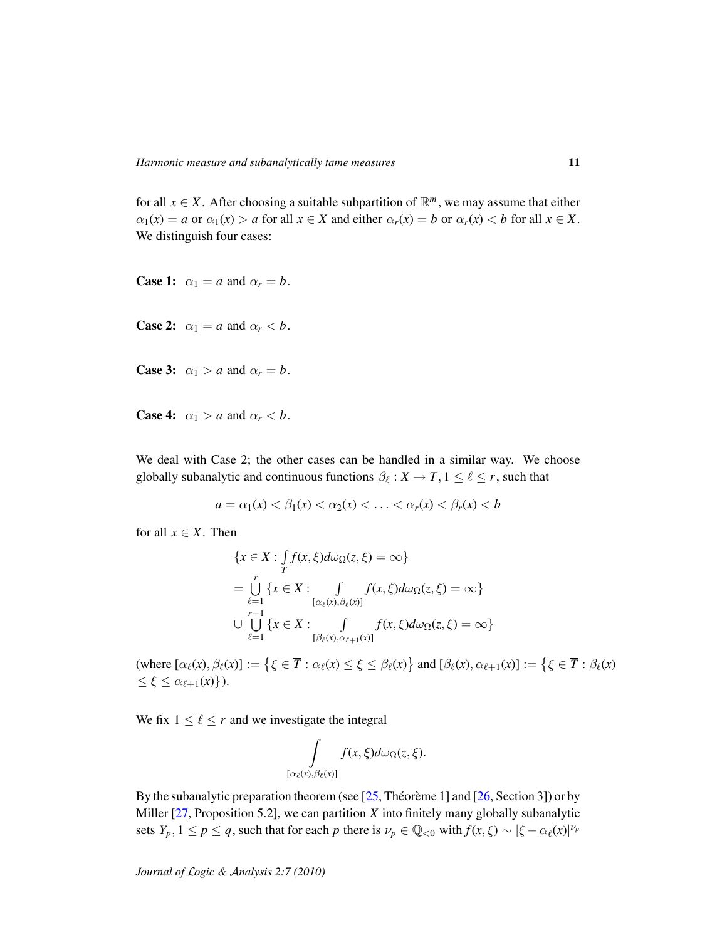for all  $x \in X$ . After choosing a suitable subpartition of  $\mathbb{R}^m$ , we may assume that either  $\alpha_1(x) = a$  or  $\alpha_1(x) > a$  for all  $x \in X$  and either  $\alpha_r(x) = b$  or  $\alpha_r(x) < b$  for all  $x \in X$ . We distinguish four cases:

**Case 1:**  $\alpha_1 = a$  and  $\alpha_r = b$ .

**Case 2:**  $\alpha_1 = a$  and  $\alpha_r < b$ .

**Case 3:**  $\alpha_1 > a$  and  $\alpha_r = b$ .

**Case 4:**  $\alpha_1 > a$  and  $\alpha_r < b$ .

We deal with Case 2; the other cases can be handled in a similar way. We choose globally subanalytic and continuous functions  $\beta_{\ell}: X \to T, 1 \leq \ell \leq r$ , such that

$$
a = \alpha_1(x) < \beta_1(x) < \alpha_2(x) < \ldots < \alpha_r(x) < \beta_r(x) < b
$$

for all  $x \in X$ . Then

$$
\{x \in X : \int_{T} f(x, \xi) d\omega_{\Omega}(z, \xi) = \infty\}
$$
  
= 
$$
\bigcup_{\ell=1}^{r} \{x \in X : \int_{[\alpha_{\ell}(x), \beta_{\ell}(x)]} f(x, \xi) d\omega_{\Omega}(z, \xi) = \infty\}
$$
  

$$
\cup \bigcup_{\ell=1}^{r-1} \{x \in X : \int_{[\beta_{\ell}(x), \alpha_{\ell+1}(x)]} f(x, \xi) d\omega_{\Omega}(z, \xi) = \infty\}
$$

(where  $[\alpha_{\ell}(x), \beta_{\ell}(x)] := \left\{ \xi \in \overline{T} : \alpha_{\ell}(x) \leq \xi \leq \beta_{\ell}(x) \right\}$  and  $[\beta_{\ell}(x), \alpha_{\ell+1}(x)] := \left\{ \xi \in \overline{T} : \beta_{\ell}(x) \right\}$  $\leq \xi \leq \alpha_{\ell+1}(x)$ .

We fix  $1 \leq \ell \leq r$  and we investigate the integral

$$
\int\limits_{[\alpha_\ell(x),\beta_\ell(x)]} f(x,\xi)d\omega_\Omega(z,\xi).
$$

By the subanalytic preparation theorem (see  $[25,$  Théorème 1] and  $[26,$  $[26,$  Section 3]) or by Miller  $[27,$  Proposition 5.2], we can partition  $X$  into finitely many globally subanalytic sets  $Y_p$ ,  $1 \le p \le q$ , such that for each *p* there is  $\nu_p \in \mathbb{Q}_{< 0}$  with  $f(x, \xi) \sim |\xi - \alpha_{\ell}(x)|^{\nu_p}$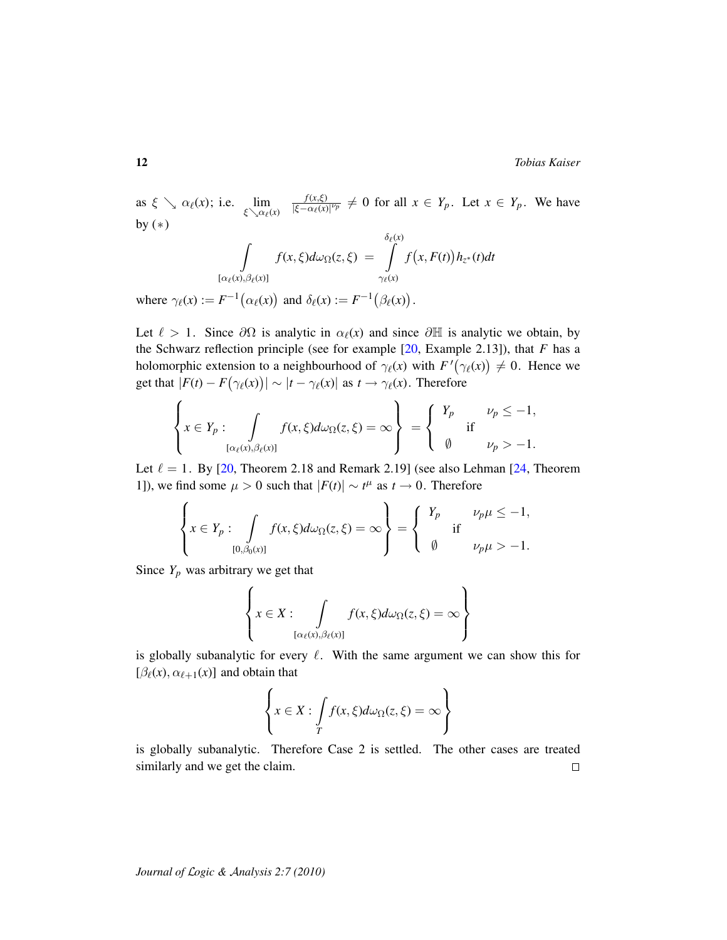as  $\xi \searrow \alpha_{\ell}(x)$ ; i.e.  $\lim_{\xi \searrow \alpha_{\ell}(x)}$ *f*(*x*,ξ)  $\frac{f(x,\xi)}{|\xi-\alpha_{\ell}(x)|^{p_p}} \neq 0$  for all  $x \in Y_p$ . Let  $x \in Y_p$ . We have by  $(*)$ 

$$
\int\limits_{[\alpha_{\ell}(x),\beta_{\ell}(x)]} f(x,\xi)d\omega_{\Omega}(z,\xi) = \int\limits_{\gamma_{\ell}(x)}^{\delta_{\ell}(x)} f(x,F(t))h_{z^*}(t)dt
$$

where  $\gamma_{\ell}(x) := F^{-1}(\alpha_{\ell}(x))$  and  $\delta_{\ell}(x) := F^{-1}(\beta_{\ell}(x))$ .

Let  $\ell > 1$ . Since  $\partial\Omega$  is analytic in  $\alpha_{\ell}(x)$  and since  $\partial\mathbb{H}$  is analytic we obtain, by the Schwarz reflection principle (see for example [\[20,](#page-27-13) Example 2.13]), that *F* has a holomorphic extension to a neighbourhood of  $\gamma_{\ell}(x)$  with  $F'(\gamma_{\ell}(x)) \neq 0$ . Hence we get that  $|F(t) - F(\gamma_{\ell}(x))| \sim |t - \gamma_{\ell}(x)|$  as  $t \to \gamma_{\ell}(x)$ . Therefore

$$
\left\{ x \in Y_p : \int\limits_{[\alpha_\ell(x), \beta_\ell(x)]} f(x, \xi) d\omega_\Omega(z, \xi) = \infty \right\} = \begin{cases} Y_p & \nu_p \le -1, \\ \emptyset & \nu_p > -1. \end{cases}
$$

Let  $\ell = 1$ . By [\[20,](#page-27-13) Theorem 2.18 and Remark 2.19] (see also Lehman [\[24,](#page-27-15) Theorem 1]), we find some  $\mu > 0$  such that  $|F(t)| \sim t^{\mu}$  as  $t \to 0$ . Therefore

$$
\left\{ x \in Y_p : \int\limits_{[0,\beta_0(x)]} f(x,\xi) d\omega_{\Omega}(z,\xi) = \infty \right\} = \left\{ \begin{array}{ll} Y_p & \nu_p \mu \le -1, \\ \emptyset & \text{if} \end{array} \right.
$$

Since  $Y_p$  was arbitrary we get that

$$
\left\{x \in X: \int\limits_{[\alpha_{\ell}(x),\beta_{\ell}(x)]} f(x,\xi) d\omega_{\Omega}(z,\xi) = \infty \right\}
$$

 $\ddot{\phantom{1}}$ 

is globally subanalytic for every  $\ell$ . With the same argument we can show this for  $[\beta_{\ell}(x), \alpha_{\ell+1}(x)]$  and obtain that

$$
\left\{ x \in X : \int\limits_T f(x,\xi) d\omega_{\Omega}(z,\xi) = \infty \right\}
$$

is globally subanalytic. Therefore Case 2 is settled. The other cases are treated similarly and we get the claim.  $\Box$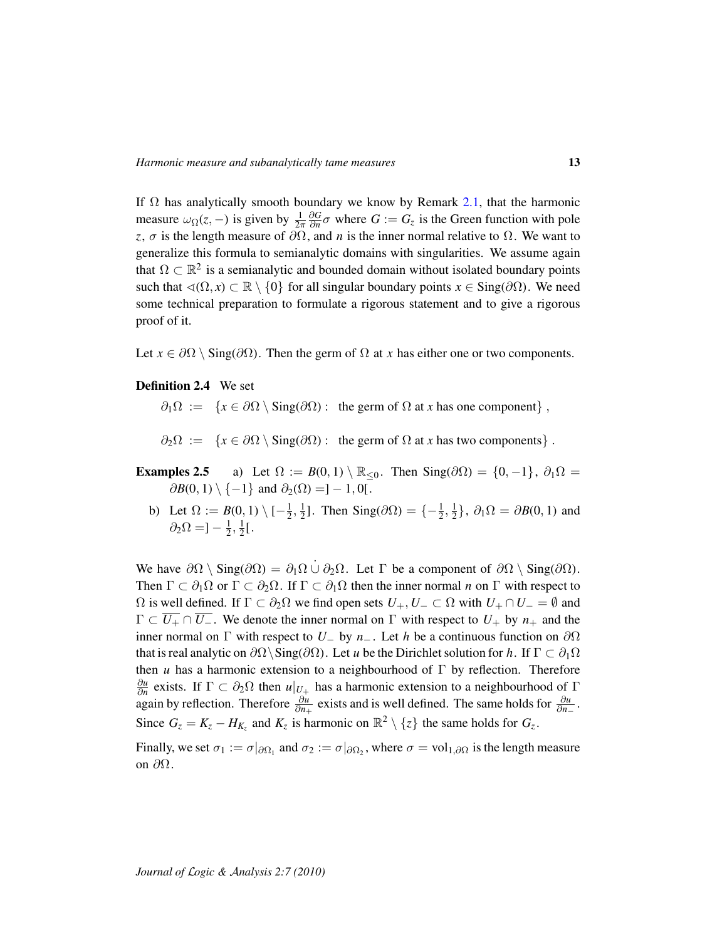If  $\Omega$  has analytically smooth boundary we know by Remark [2.1,](#page-8-0) that the harmonic measure  $\omega_{\Omega}(z, -)$  is given by  $\frac{1}{2\pi}$ ∂*G*  $\frac{\partial G}{\partial n}$  *σ* where  $G := G_z$  is the Green function with pole *z*,  $\sigma$  is the length measure of  $\partial\Omega$ , and *n* is the inner normal relative to  $\Omega$ . We want to generalize this formula to semianalytic domains with singularities. We assume again that  $\Omega \subset \mathbb{R}^2$  is a semianalytic and bounded domain without isolated boundary points such that  $\triangleleft(\Omega, x) \subset \mathbb{R} \setminus \{0\}$  for all singular boundary points  $x \in Sing(\partial\Omega)$ . We need some technical preparation to formulate a rigorous statement and to give a rigorous proof of it.

Let  $x \in \partial \Omega \setminus \text{Sing}(\partial \Omega)$ . Then the germ of  $\Omega$  at *x* has either one or two components.

### Definition 2.4 We set

 $\partial_1 \Omega := \{x \in \partial \Omega \setminus \text{Sing}(\partial \Omega) : \text{ the germ of } \Omega \text{ at } x \text{ has one component}\}\,$ 

 $\partial_2 \Omega := \{x \in \partial \Omega \setminus \text{Sing}(\partial \Omega) : \text{ the germ of } \Omega \text{ at } x \text{ has two components} \}.$ 

- **Examples 2.5** a) Let  $\Omega := B(0, 1) \setminus \mathbb{R}_{\leq 0}$ . Then Sing( $\partial\Omega$ ) = {0, -1},  $\partial_1\Omega$  =  $\partial B(0,1) \setminus \{-1\}$  and  $\partial_2(\Omega) = ]-1,0[$ .
	- b) Let  $\Omega := B(0,1) \setminus \{-\frac{1}{2}\}$  $\frac{1}{2}, \frac{1}{2}$  $\frac{1}{2}$ ]. Then Sing( $\partial\Omega$ ) =  $\{-\frac{1}{2}, \frac{1}{2}\}$  $\{\frac{1}{2}\}, \partial_1\Omega = \partial B(0, 1)$  and  $\partial_2\Omega = \frac{1}{2}$  $\frac{1}{2}, \frac{1}{2}$  $rac{1}{2}$ [.

We have  $\partial\Omega \setminus \text{Sing}(\partial\Omega) = \partial_1\Omega \cup \partial_2\Omega$ . Let  $\Gamma$  be a component of  $\partial\Omega \setminus \text{Sing}(\partial\Omega)$ . Then  $\Gamma \subset \partial_1 \Omega$  or  $\Gamma \subset \partial_2 \Omega$ . If  $\Gamma \subset \partial_1 \Omega$  then the inner normal *n* on  $\Gamma$  with respect to  $Ω$  is well defined. If  $Γ ⊂ ∂_2Ω$  we find open sets  $U_+, U_ ⊂ ⊂ Ω$  with  $U_+ ∩ U_ = ∅$  and  $\Gamma \subset \overline{U_+} \cap \overline{U_-}$ . We denote the inner normal on  $\Gamma$  with respect to  $U_+$  by  $n_+$  and the inner normal on  $\Gamma$  with respect to  $U_-\,$  by  $n_-\,$ . Let  $h$  be a continuous function on  $\partial\Omega$ that is real analytic on  $\partial\Omega\setminus\text{Sing}(\partial\Omega)$ . Let *u* be the Dirichlet solution for *h*. If  $\Gamma\subset\partial_1\Omega$ then *u* has a harmonic extension to a neighbourhood of Γ by reflection. Therefore ∂*u*  $\frac{\partial u}{\partial n}$  exists. If Γ ⊂  $\partial_2 \Omega$  then *u*|<sub>*U*<sub>→</sub> has a harmonic extension to a neighbourhood of Γ</sub> again by reflection. Therefore  $\frac{\partial u}{\partial n_+}$  exists and is well defined. The same holds for  $\frac{\partial u}{\partial n_-}$ . Since  $G_z = K_z - H_{K_z}$  and  $K_z$  is harmonic on  $\mathbb{R}^2 \setminus \{z\}$  the same holds for  $G_z$ .

Finally, we set  $\sigma_1 := \sigma|_{\partial \Omega_1}$  and  $\sigma_2 := \sigma|_{\partial \Omega_2}$ , where  $\sigma = vol_{1,\partial \Omega}$  is the length measure on ∂Ω.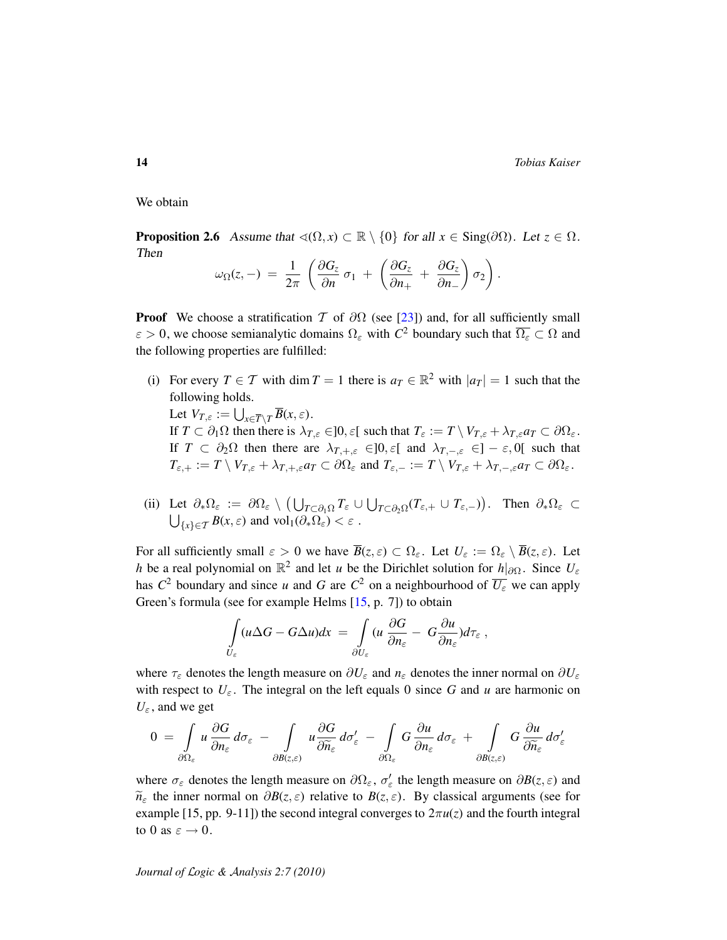14 *Tobias Kaiser*

We obtain

<span id="page-13-0"></span>**Proposition 2.6** Assume that  $\triangleleft(\Omega, x) \subset \mathbb{R} \setminus \{0\}$  for all  $x \in \text{Sing}(\partial\Omega)$ . Let  $z \in \Omega$ . Then

$$
\omega_{\Omega}(z,-) = \frac{1}{2\pi} \left( \frac{\partial G_z}{\partial n} \sigma_1 + \left( \frac{\partial G_z}{\partial n_+} + \frac{\partial G_z}{\partial n_-} \right) \sigma_2 \right).
$$

**Proof** We choose a stratification T of  $\partial\Omega$  (see [\[23\]](#page-27-8)) and, for all sufficiently small  $\varepsilon > 0$ , we choose semianalytic domains  $\Omega_{\varepsilon}$  with  $C^2$  boundary such that  $\overline{\Omega_{\varepsilon}} \subset \Omega$  and the following properties are fulfilled:

(i) For every  $T \in \mathcal{T}$  with dim  $T = 1$  there is  $a_T \in \mathbb{R}^2$  with  $|a_T| = 1$  such that the following holds. Let  $V_{T,\varepsilon} := \bigcup_{x \in \overline{T} \setminus T} \overline{B}(x,\varepsilon)$ .

If  $T \subset \partial_1 \Omega$  then there is  $\lambda_{T,\varepsilon} \in ]0,\varepsilon[$  such that  $T_{\varepsilon} := T \setminus V_{T,\varepsilon} + \lambda_{T,\varepsilon} a_T \subset \partial \Omega_{\varepsilon}$ . If  $T \subset \partial_2 \Omega$  then there are  $\lambda_{T,+,\varepsilon} \in ]0,\varepsilon[$  and  $\lambda_{T,-,\varepsilon} \in ]-\varepsilon,0[$  such that  $T_{\varepsilon,+} := T \setminus V_{T,\varepsilon} + \lambda_{T,+,\varepsilon} a_T \subset \partial \Omega_{\varepsilon}$  and  $T_{\varepsilon,-} := T \setminus V_{T,\varepsilon} + \lambda_{T,-,\varepsilon} a_T \subset \partial \Omega_{\varepsilon}$ .

(ii) Let  $\partial_*\Omega_{\varepsilon} := \partial \Omega_{\varepsilon} \setminus \left( \bigcup_{T \subset \partial_1 \Omega} T_{\varepsilon} \cup \bigcup_{T \subset \partial_2 \Omega} (T_{\varepsilon,+} \cup T_{\varepsilon,-}) \right)$ . Then  $\partial_* \Omega_{\varepsilon} \subset$  $\bigcup_{\{x\} \in \mathcal{T}} B(x,\varepsilon)$  and vol<sub>1</sub>( $\partial_* \Omega_{\varepsilon}$ ) <  $\varepsilon$ .

For all sufficiently small  $\varepsilon > 0$  we have  $\overline{B}(z,\varepsilon) \subset \Omega_{\varepsilon}$ . Let  $U_{\varepsilon} := \Omega_{\varepsilon} \setminus \overline{B}(z,\varepsilon)$ . Let *h* be a real polynomial on  $\mathbb{R}^2$  and let *u* be the Dirichlet solution for *h*|∂ $\Omega$ . Since  $U_{\varepsilon}$ has  $C^2$  boundary and since *u* and *G* are  $C^2$  on a neighbourhood of  $\overline{U_{\varepsilon}}$  we can apply Green's formula (see for example Helms [\[15,](#page-26-11) p. 7]) to obtain

$$
\int\limits_{U_{\varepsilon}} (u \Delta G - G \Delta u) dx = \int\limits_{\partial U_{\varepsilon}} (u \frac{\partial G}{\partial n_{\varepsilon}} - G \frac{\partial u}{\partial n_{\varepsilon}}) d\tau_{\varepsilon} ,
$$

where  $\tau_{\varepsilon}$  denotes the length measure on  $\partial U_{\varepsilon}$  and  $n_{\varepsilon}$  denotes the inner normal on  $\partial U_{\varepsilon}$ with respect to  $U_{\varepsilon}$ . The integral on the left equals 0 since G and u are harmonic on  $U_{\varepsilon}$ , and we get

$$
0 = \int_{\partial\Omega_{\varepsilon}} u \frac{\partial G}{\partial n_{\varepsilon}} d\sigma_{\varepsilon} - \int_{\partial B(z,\varepsilon)} u \frac{\partial G}{\partial \widetilde{n}_{\varepsilon}} d\sigma'_{\varepsilon} - \int_{\partial\Omega_{\varepsilon}} G \frac{\partial u}{\partial n_{\varepsilon}} d\sigma_{\varepsilon} + \int_{\partial B(z,\varepsilon)} G \frac{\partial u}{\partial \widetilde{n}_{\varepsilon}} d\sigma'_{\varepsilon}
$$

where  $\sigma_{\varepsilon}$  denotes the length measure on  $\partial\Omega_{\varepsilon}$ ,  $\sigma'_{\varepsilon}$  the length measure on  $\partial B(z,\varepsilon)$  and  $\widetilde{n}_{\varepsilon}$  the inner normal on  $\partial B(z, \varepsilon)$  relative to  $B(z, \varepsilon)$ . By classical arguments (see for example [15, pp. 9-11]) the second integral converges to  $2\pi u(z)$  and the fourth integral to 0 as  $\varepsilon \to 0$ .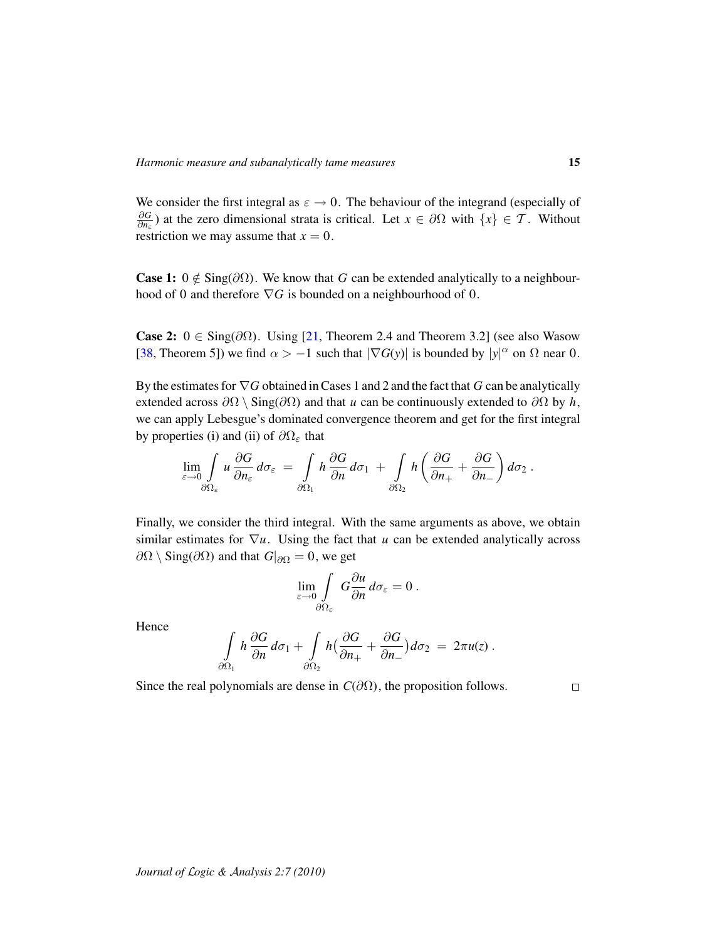We consider the first integral as  $\varepsilon \to 0$ . The behaviour of the integrand (especially of ∂*G*  $\frac{\partial G}{\partial n_{\varepsilon}}$ ) at the zero dimensional strata is critical. Let  $x \in \partial \Omega$  with  $\{x\} \in \mathcal{T}$ . Without restriction we may assume that  $x = 0$ .

**Case 1:**  $0 \notin Sing(\partial\Omega)$ . We know that *G* can be extended analytically to a neighbourhood of 0 and therefore  $\nabla G$  is bounded on a neighbourhood of 0.

Case 2:  $0 \in Sing(\partial \Omega)$ . Using [\[21,](#page-27-7) Theorem 2.4 and Theorem 3.2] (see also Wasow [\[38,](#page-28-3) Theorem 5]) we find  $\alpha > -1$  such that  $|\nabla G(y)|$  is bounded by  $|y|^{\alpha}$  on  $\Omega$  near 0.

By the estimates for ∇*G* obtained in Cases 1 and 2 and the fact that *G* can be analytically extended across  $\partial\Omega \setminus \text{Sing}(\partial\Omega)$  and that *u* can be continuously extended to  $\partial\Omega$  by *h*, we can apply Lebesgue's dominated convergence theorem and get for the first integral by properties (i) and (ii) of  $\partial\Omega_{\varepsilon}$  that

$$
\lim_{\varepsilon\to 0}\int\limits_{\partial\Omega_{\varepsilon}}u\,\frac{\partial G}{\partial n_{\varepsilon}}\,d\sigma_{\varepsilon} = \int\limits_{\partial\Omega_{1}}h\,\frac{\partial G}{\partial n}\,d\sigma_{1} + \int\limits_{\partial\Omega_{2}}h\left(\frac{\partial G}{\partial n_{+}}+\frac{\partial G}{\partial n_{-}}\right)d\sigma_{2}.
$$

Finally, we consider the third integral. With the same arguments as above, we obtain similar estimates for  $\nabla u$ . Using the fact that *u* can be extended analytically across  $\partial\Omega \setminus \text{Sing}(\partial\Omega)$  and that  $G|_{\partial\Omega} = 0$ , we get

$$
\lim_{\varepsilon\to 0}\int\limits_{\partial\Omega_\varepsilon} G\frac{\partial u}{\partial n}\,d\sigma_\varepsilon=0\;.
$$

Hence

$$
\int\limits_{\partial\Omega_1} h \frac{\partial G}{\partial n} d\sigma_1 + \int\limits_{\partial\Omega_2} h \big( \frac{\partial G}{\partial n_+} + \frac{\partial G}{\partial n_-} \big) d\sigma_2 = 2\pi u(z) .
$$

Since the real polynomials are dense in  $C(\partial\Omega)$ , the proposition follows.

 $\Box$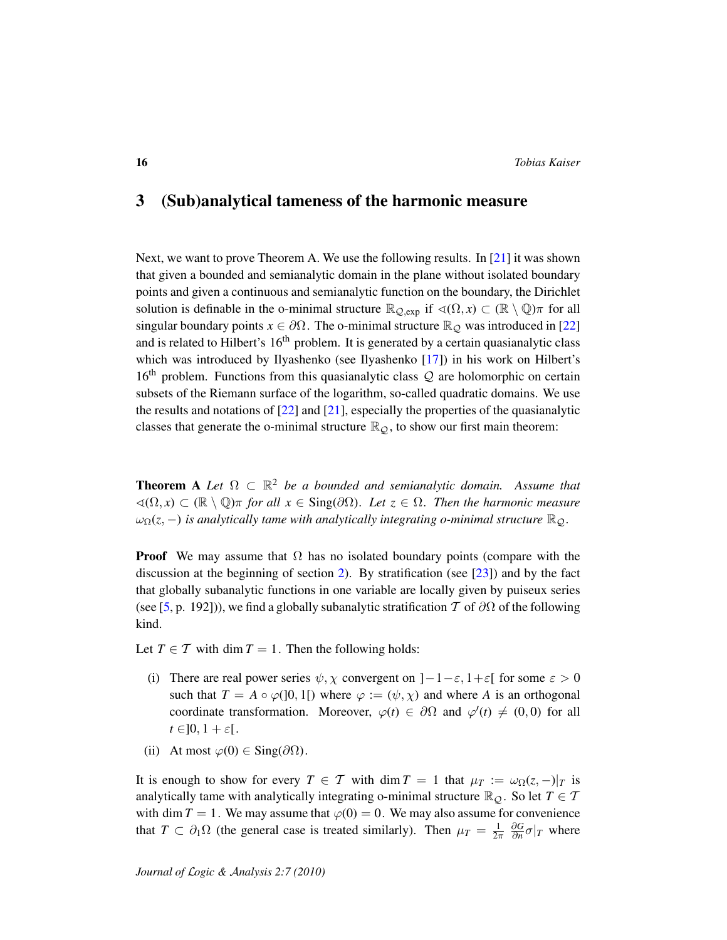# 3 (Sub)analytical tameness of the harmonic measure

Next, we want to prove Theorem A. We use the following results. In [\[21\]](#page-27-7) it was shown that given a bounded and semianalytic domain in the plane without isolated boundary points and given a continuous and semianalytic function on the boundary, the Dirichlet solution is definable in the o-minimal structure  $\mathbb{R}_{Q,exp}$  if  $\triangleleft(\Omega, x) \subset (\mathbb{R} \setminus \mathbb{Q})\pi$  for all singular boundary points  $x \in \partial\Omega$ . The o-minimal structure  $\mathbb{R}_{\mathcal{Q}}$  was introduced in [\[22\]](#page-27-2) and is related to Hilbert's  $16<sup>th</sup>$  problem. It is generated by a certain quasianalytic class which was introduced by Ilyashenko (see Ilyashenko [\[17\]](#page-26-12)) in his work on Hilbert's 16<sup>th</sup> problem. Functions from this quasianalytic class  $\mathcal Q$  are holomorphic on certain subsets of the Riemann surface of the logarithm, so-called quadratic domains. We use the results and notations of  $[22]$  and  $[21]$ , especially the properties of the quasianalytic classes that generate the o-minimal structure  $\mathbb{R}_{\mathcal{Q}}$ , to show our first main theorem:

**Theorem A** Let  $\Omega \subset \mathbb{R}^2$  be a bounded and semianalytic domain. Assume that  $\triangleleft(\Omega, x)$  ⊂ ( $\mathbb{R} \setminus \mathbb{Q}$ ) $\pi$  *for all x* ∈ Sing(∂ $\Omega$ )*. Let z* ∈  $\Omega$ *. Then the harmonic measure*  $\omega_{\Omega}(z, -)$  *is analytically tame with analytically integrating o-minimal structure*  $\mathbb{R}_{\mathcal{Q}}$ *.* 

**Proof** We may assume that  $\Omega$  has no isolated boundary points (compare with the discussion at the beginning of section [2\)](#page-7-0). By stratification (see  $[23]$ ) and by the fact that globally subanalytic functions in one variable are locally given by puiseux series (see [\[5,](#page-26-13) p. 192])), we find a globally subanalytic stratification T of  $\partial\Omega$  of the following kind.

Let  $T \in \mathcal{T}$  with dim  $T = 1$ . Then the following holds:

- (i) There are real power series  $\psi$ ,  $\chi$  convergent on  $]-1-\varepsilon, 1+\varepsilon[$  for some  $\varepsilon > 0$ such that  $T = A \circ \varphi(]0, 1[)$  where  $\varphi := (\psi, \chi)$  and where A is an orthogonal coordinate transformation. Moreover,  $\varphi(t) \in \partial \Omega$  and  $\varphi'(t) \neq (0, 0)$  for all  $t \in ]0, 1 + \varepsilon[$ .
- (ii) At most  $\varphi(0) \in \text{Sing}(\partial \Omega)$ .

It is enough to show for every  $T \in \mathcal{T}$  with dim  $T = 1$  that  $\mu_T := \omega_{\Omega}(z, -)|_T$  is analytically tame with analytically integrating o-minimal structure  $\mathbb{R}_{\mathcal{Q}}$ . So let  $T \in \mathcal{T}$ with dim  $T = 1$ . We may assume that  $\varphi(0) = 0$ . We may also assume for convenience that  $T \subset \partial_1 \Omega$  (the general case is treated similarly). Then  $\mu = \frac{1}{2\pi}$ ∂*G*  $\frac{\partial G}{\partial n} \sigma|_T$  where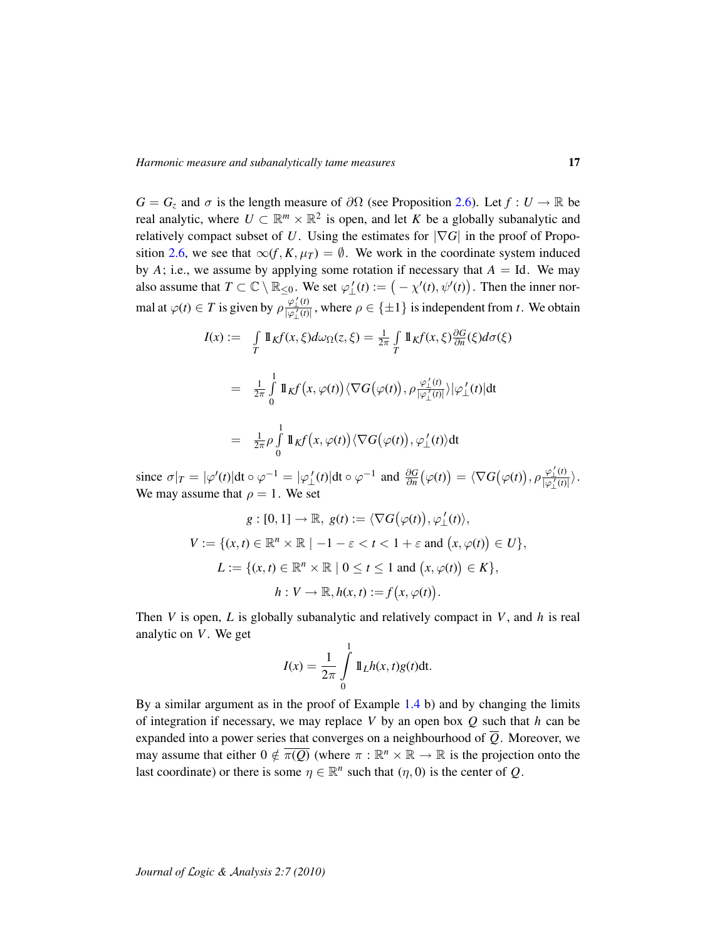$G = G_z$  and  $\sigma$  is the length measure of  $\partial\Omega$  (see Proposition [2.6\)](#page-13-0). Let  $f : U \to \mathbb{R}$  be real analytic, where  $U \subset \mathbb{R}^m \times \mathbb{R}^2$  is open, and let *K* be a globally subanalytic and relatively compact subset of *U*. Using the estimates for  $|\nabla G|$  in the proof of Propo-sition [2.6,](#page-13-0) we see that  $\infty(f, K, \mu_T) = \emptyset$ . We work in the coordinate system induced by *A*; i.e., we assume by applying some rotation if necessary that  $A = Id$ . We may also assume that  $T \subset \mathbb{C} \setminus \mathbb{R}_{\leq 0}$ . We set  $\varphi'_{\perp}(t) := (-\chi'(t), \psi'(t))$ . Then the inner normal at  $\varphi(t) \in T$  is given by  $\rho \frac{\varphi'_1(t)}{|\varphi'_1(t)|}$ , where  $\rho \in {\pm 1}$  is independent from *t*. We obtain

$$
I(x) := \int_{T} 1 \int_{K} f(x, \xi) d\omega_{\Omega}(z, \xi) = \frac{1}{2\pi} \int_{T} 1 \int_{K} f(x, \xi) \frac{\partial G}{\partial n}(\xi) d\sigma(\xi)
$$
  
\n
$$
= \frac{1}{2\pi} \int_{0}^{1} 1 \int_{K} f(x, \varphi(t)) \langle \nabla G(\varphi(t)), \rho \frac{\varphi_{1}'(t)}{|\varphi_{1}'(t)|} \rangle |\varphi_{1}'(t)| dt
$$
  
\n
$$
= \frac{1}{2\pi} \rho \int_{0}^{1} 1 \int_{K} f(x, \varphi(t)) \langle \nabla G(\varphi(t)), \varphi_{1}'(t) \rangle dt
$$

since  $\sigma|_T = |\varphi'(t)| dt \circ \varphi^{-1} = |\varphi'_{\perp}(t)| dt \circ \varphi^{-1}$  and  $\frac{\partial G}{\partial n}(\varphi(t)) = \langle \nabla G(\varphi(t)), \rho \frac{\varphi'_{\perp}(t)}{|\varphi'_{\perp}(t)|} \rangle$ . We may assume that  $\rho = 1$ . We set

$$
g: [0, 1] \to \mathbb{R}, g(t) := \langle \nabla G(\varphi(t)), \varphi_{\perp}'(t) \rangle,
$$
  

$$
V := \{(x, t) \in \mathbb{R}^n \times \mathbb{R} \mid -1 - \varepsilon < t < 1 + \varepsilon \text{ and } (x, \varphi(t)) \in U\},
$$
  

$$
L := \{(x, t) \in \mathbb{R}^n \times \mathbb{R} \mid 0 \leq t \leq 1 \text{ and } (x, \varphi(t)) \in K\},
$$
  

$$
h: V \to \mathbb{R}, h(x, t) := f(x, \varphi(t)).
$$

Then *V* is open, *L* is globally subanalytic and relatively compact in *V*, and *h* is real analytic on *V*. We get

$$
I(x) = \frac{1}{2\pi} \int\limits_0^1 \mathbb{1}_{L} h(x, t) g(t) \mathrm{dt}.
$$

By a similar argument as in the proof of Example [1.4](#page-0-0) b) and by changing the limits of integration if necessary, we may replace *V* by an open box *Q* such that *h* can be expanded into a power series that converges on a neighbourhood of  $\overline{Q}$ . Moreover, we may assume that either  $0 \notin \overline{\pi(Q)}$  (where  $\pi : \mathbb{R}^n \times \mathbb{R} \to \mathbb{R}$  is the projection onto the last coordinate) or there is some  $\eta \in \mathbb{R}^n$  such that  $(\eta, 0)$  is the center of *Q*.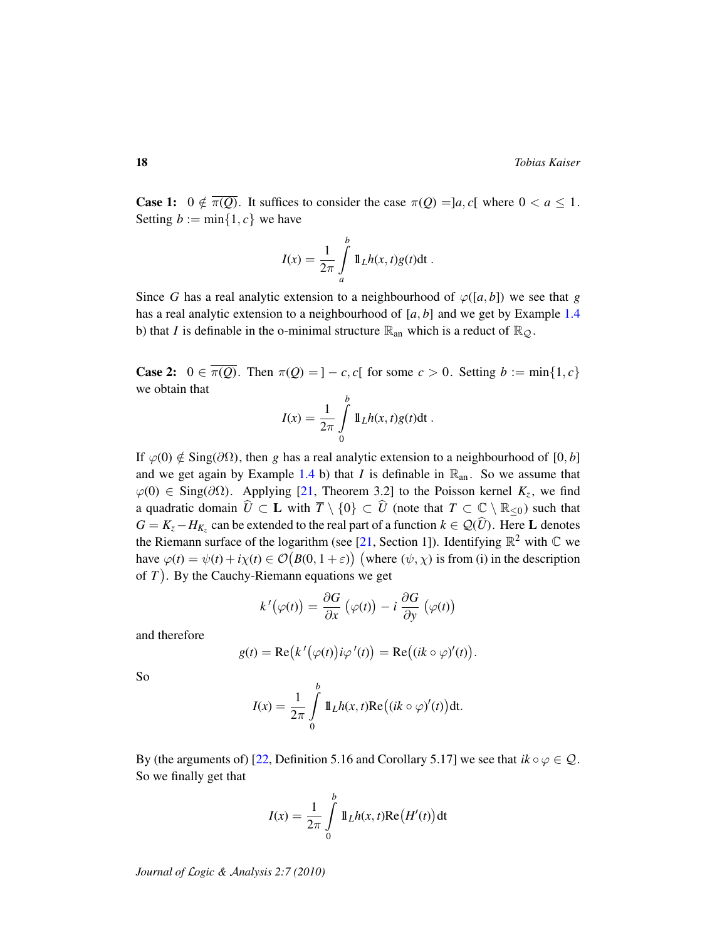**Case 1:**  $0 \notin \overline{\pi(Q)}$ . It suffices to consider the case  $\pi(Q) =]a, c[$  where  $0 < a \leq 1$ . Setting  $b := \min\{1, c\}$  we have

$$
I(x) = \frac{1}{2\pi} \int_{a}^{b} 1\!\!1_L h(x, t)g(t)dt.
$$

Since *G* has a real analytic extension to a neighbourhood of  $\varphi([a, b])$  we see that *g* has a real analytic extension to a neighbourhood of [*a*, *b*] and we get by Example [1.4](#page-0-0) b) that *I* is definable in the o-minimal structure  $\mathbb{R}_{\text{an}}$  which is a reduct of  $\mathbb{R}_{\mathcal{Q}}$ .

**Case 2:**  $0 \in \overline{\pi(Q)}$ . Then  $\pi(Q) = ] - c, c[$  for some  $c > 0$ . Setting  $b := \min\{1, c\}$ we obtain that

$$
I(x) = \frac{1}{2\pi} \int\limits_{0}^{b} 1\!\!1_L h(x, t)g(t)dt.
$$

If  $\varphi(0) \notin \text{Sing}(\partial \Omega)$ , then *g* has a real analytic extension to a neighbourhood of [0, *b*] and we get again by Example [1.4](#page-0-0) b) that *I* is definable in  $\mathbb{R}_{an}$ . So we assume that  $\varphi(0) \in \text{Sing}(\partial \Omega)$ . Applying [\[21,](#page-27-7) Theorem 3.2] to the Poisson kernel  $K_z$ , we find a quadratic domain  $\widehat{U} \subset L$  with  $\overline{T} \setminus \{0\} \subset \widehat{U}$  (note that  $T \subset \mathbb{C} \setminus \mathbb{R}_{\leq 0}$ ) such that  $G = K_z - H_{K_z}$  can be extended to the real part of a function  $k \in \mathcal{Q}(\hat{U})$ . Here L denotes the Riemann surface of the logarithm (see [\[21,](#page-27-7) Section 1]). Identifying  $\mathbb{R}^2$  with  $\mathbb C$  we have  $\varphi(t) = \psi(t) + i\chi(t) \in \mathcal{O}(B(0, 1+\varepsilon))$  (where  $(\psi, \chi)$  is from (i) in the description of *T* . By the Cauchy-Riemann equations we get

$$
k'(\varphi(t)) = \frac{\partial G}{\partial x} (\varphi(t)) - i \frac{\partial G}{\partial y} (\varphi(t))
$$

and therefore

$$
g(t) = \text{Re}(k'(\varphi(t))i\varphi'(t)) = \text{Re}((ik \circ \varphi)'(t)).
$$

So

$$
I(x) = \frac{1}{2\pi} \int_{0}^{b} 1\!\!1_L h(x, t) \text{Re}\big((ik \circ \varphi)'(t)\big) dt.
$$

By (the arguments of) [\[22,](#page-27-2) Definition 5.16 and Corollary 5.17] we see that  $ik \circ \varphi \in \mathcal{Q}$ . So we finally get that

$$
I(x) = \frac{1}{2\pi} \int_{0}^{b} 1\!\!1_L h(x, t) \text{Re}\big(H'(t)\big) dt
$$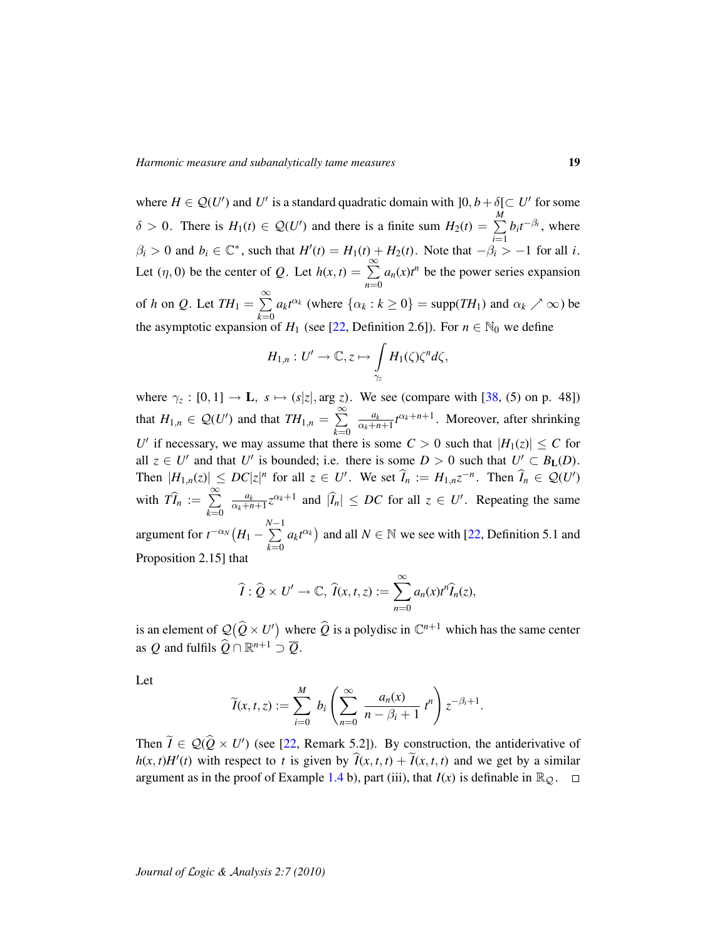where  $H \in \mathcal{Q}(U')$  and U' is a standard quadratic domain with  $]0, b + \delta[\subset U'$  for some  $\delta > 0$ . There is  $H_1(t) \in \mathcal{Q}(U')$  and there is a finite sum  $H_2(t) = \sum_{i=1}^{M}$  $\beta_i > 0$  and  $b_i \in \mathbb{C}^*$ , such that  $H'(t) = H_1(t) + H_2(t)$ . Note that  $-\beta_i > -1$  for all *i*.  $b_i t^{-\beta_i}$ , where Let  $(\eta, 0)$  be the center of *Q*. Let  $h(x, t) = \sum_{n=1}^{\infty}$ *n*=0  $a_n(x)t^n$  be the power series expansion of *h* on *Q*. Let  $TH_1 = \sum_{n=1}^{\infty}$ *k*=0  $a_k t^{\alpha_k}$  (where  $\{\alpha_k : k \ge 0\} = \text{supp}(TH_1)$  and  $\alpha_k \nearrow \infty$ ) be the asymptotic expansion of *H*<sub>1</sub> (see [\[22,](#page-27-2) Definition 2.6]). For  $n \in \mathbb{N}_0$  we define

$$
H_{1,n}:U'\to\mathbb{C},\,z\mapsto\int\limits_{\gamma_z}H_1(\zeta)\zeta^n d\zeta,
$$

where  $\gamma_z : [0, 1] \to \mathbf{L}$ ,  $s \mapsto (s|z|, \arg z)$ . We see (compare with [\[38,](#page-28-3) (5) on p. 48]) that  $H_{1,n} \in \mathcal{Q}(U')$  and that  $TH_{1,n} = \sum_{n=1}^{\infty}$ *k*=0 *ak*  $\frac{a_k}{\alpha_k+n+1}t^{\alpha_k+n+1}$ . Moreover, after shrinking *U*<sup> $\prime$ </sup> if necessary, we may assume that there is some  $C > 0$  such that  $|H_1(z)| \leq C$  for all  $z \in U'$  and that *U'* is bounded; i.e. there is some  $D > 0$  such that  $U' \subset B_{\mathbf{L}}(D)$ . Then  $|H_{1,n}(z)| \le DC|z|^n$  for all  $z \in U'$ . We set  $\widehat{I}_n := H_{1,n}z^{-n}$ . Then  $\widehat{I}_n \in \mathcal{Q}(U')$ with  $T\widehat{I}_n := \sum_{k=0}^{\infty}$ *k*=0 *ak*  $\frac{a_k}{\alpha_k+n+1}z^{\alpha_k+1}$  and  $|\hat{I}_n| \le DC$  for all  $z \in U'$ . Repeating the same argument for  $t^{-\alpha_N}(H_1 - \sum^{N-1}$ *k*=0  $a_k t^{\alpha_k}$  and all  $N \in \mathbb{N}$  we see with [\[22,](#page-27-2) Definition 5.1 and Proposition 2.15] that

$$
\widehat{I}: \widehat{Q} \times U' \to \mathbb{C}, \ \widehat{I}(x,t,z) := \sum_{n=0}^{\infty} a_n(x) t^n \widehat{I}_n(z),
$$

is an element of  $\mathcal{Q}(\hat{Q} \times U')$  where  $\hat{Q}$  is a polydisc in  $\mathbb{C}^{n+1}$  which has the same center as *Q* and fulfils  $\widehat{Q} \cap \mathbb{R}^{n+1} \supset \overline{Q}$ .

Let

$$
\widetilde{I}(x,t,z) := \sum_{i=0}^M b_i \left( \sum_{n=0}^\infty \frac{a_n(x)}{n-\beta_i+1} t^n \right) z^{-\beta_i+1}.
$$

Then  $\widetilde{I} \in \mathcal{Q}(\widehat{Q} \times U')$  (see [\[22,](#page-27-2) Remark 5.2]). By construction, the antiderivative of  $h(x, t)H'(t)$  with respect to *t* is given by  $\widehat{I}(x, t, t) + \widetilde{I}(x, t, t)$  and we get by a similar argument as in the proof of Example [1.4](#page-0-0) b), part (iii), that  $I(x)$  is definable in  $\mathbb{R}_{\mathcal{Q}}$ .  $\square$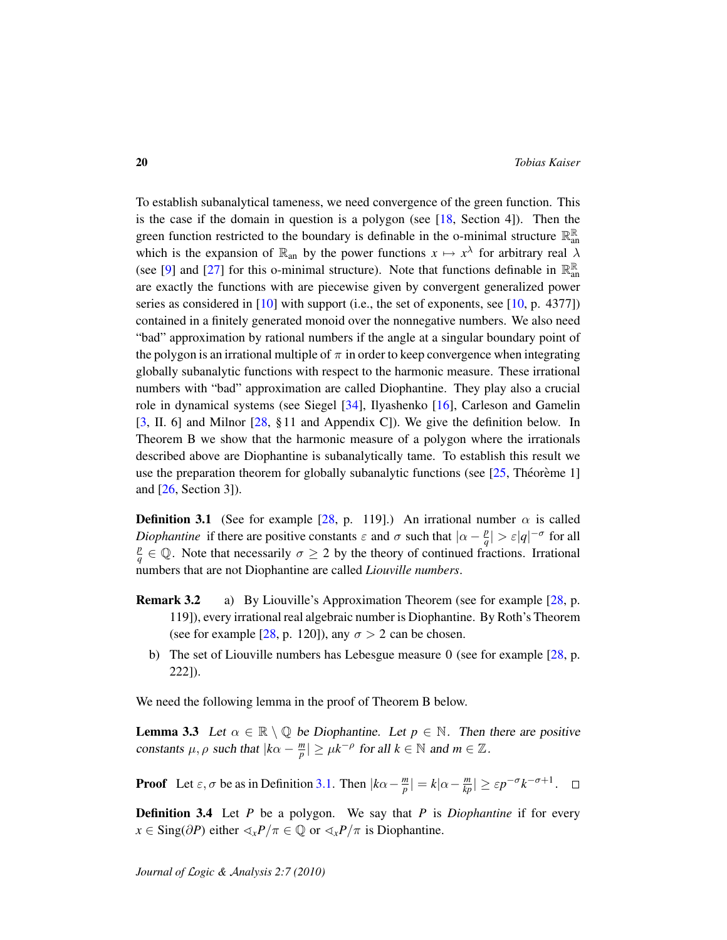To establish subanalytical tameness, we need convergence of the green function. This is the case if the domain in question is a polygon (see  $[18,$  Section 4]). Then the green function restricted to the boundary is definable in the o-minimal structure  $\mathbb{R}^{\mathbb{R}}_{ar}$ an which is the expansion of  $\mathbb{R}_{\text{an}}$  by the power functions  $x \mapsto x^{\lambda}$  for arbitrary real  $\lambda$ (see [\[9\]](#page-26-0) and [\[27\]](#page-27-6) for this o-minimal structure). Note that functions definable in  $\mathbb{R}^{\mathbb{R}}_{ar}$ an are exactly the functions with are piecewise given by convergent generalized power series as considered in [\[10\]](#page-26-4) with support (i.e., the set of exponents, see [\[10,](#page-26-4) p. 4377]) contained in a finitely generated monoid over the nonnegative numbers. We also need "bad" approximation by rational numbers if the angle at a singular boundary point of the polygon is an irrational multiple of  $\pi$  in order to keep convergence when integrating globally subanalytic functions with respect to the harmonic measure. These irrational numbers with "bad" approximation are called Diophantine. They play also a crucial role in dynamical systems (see Siegel [\[34\]](#page-27-16), Ilyashenko [\[16\]](#page-26-14), Carleson and Gamelin [\[3,](#page-26-15) II. 6] and Milnor [\[28,](#page-27-17) § 11 and Appendix C]). We give the definition below. In Theorem B we show that the harmonic measure of a polygon where the irrationals described above are Diophantine is subanalytically tame. To establish this result we use the preparation theorem for globally subanalytic functions (see  $[25,$  Theorem e 1] and [\[26,](#page-27-3) Section 3]).

<span id="page-19-0"></span>**Definition 3.1** (See for example [\[28,](#page-27-17) p. 119].) An irrational number  $\alpha$  is called *Diophantine* if there are positive constants  $\varepsilon$  and  $\sigma$  such that  $|\alpha - \frac{p}{q}|$  $\frac{p}{q}| > \varepsilon |q|^{-\sigma}$  for all *p*  $\frac{p}{q} \in \mathbb{Q}$ . Note that necessarily  $\sigma \geq 2$  by the theory of continued fractions. Irrational numbers that are not Diophantine are called *Liouville numbers*.

- **Remark 3.2** a) By Liouville's Approximation Theorem (see for example [\[28,](#page-27-17) p. 119]), every irrational real algebraic number is Diophantine. By Roth's Theorem (see for example [\[28,](#page-27-17) p. 120]), any  $\sigma > 2$  can be chosen.
	- b) The set of Liouville numbers has Lebesgue measure 0 (see for example  $[28, p]$  $[28, p]$ . 222]).

We need the following lemma in the proof of Theorem B below.

<span id="page-19-1"></span>**Lemma 3.3** Let  $\alpha \in \mathbb{R} \setminus \mathbb{Q}$  be Diophantine. Let  $p \in \mathbb{N}$ . Then there are positive constants  $\mu$ ,  $\rho$  such that  $|k\alpha - \frac{m}{n}|$  $|\frac{m}{p}| \ge \mu k^{-\rho}$  for all  $k \in \mathbb{N}$  and  $m \in \mathbb{Z}$ .

**Proof** Let  $\varepsilon$ ,  $\sigma$  be as in Definition [3.1.](#page-19-0) Then  $|k\alpha - \frac{m}{n}|$  $\left| \frac{m}{p} \right| = k|\alpha - \frac{m}{kp}| \ge \varepsilon p^{-\sigma} k^{-\sigma+1}.$  $\Box$ 

Definition 3.4 Let *P* be a polygon. We say that *P* is *Diophantine* if for every *x* ∈ Sing(∂*P*) either  $\langle x \rangle P / \pi \in \mathbb{Q}$  or  $\langle x \rangle P / \pi$  is Diophantine.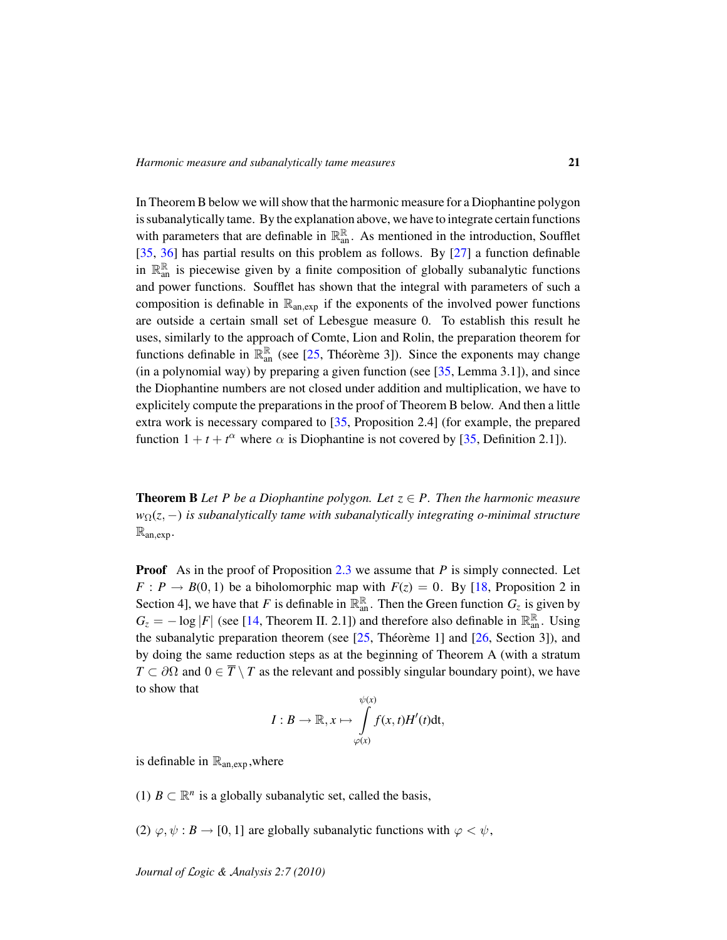In Theorem B below we will show that the harmonic measure for a Diophantine polygon is subanalytically tame. By the explanation above, we have to integrate certain functions with parameters that are definable in  $\mathbb{R}^{\mathbb{R}}_{\text{an}}$ . As mentioned in the introduction, Soufflet [\[35,](#page-27-5) [36\]](#page-28-2) has partial results on this problem as follows. By [\[27\]](#page-27-6) a function definable in  $\mathbb{R}^{\mathbb{R}}_{\text{an}}$  is piecewise given by a finite composition of globally subanalytic functions and power functions. Soufflet has shown that the integral with parameters of such a composition is definable in  $\mathbb{R}_{an,exp}$  if the exponents of the involved power functions are outside a certain small set of Lebesgue measure 0. To establish this result he uses, similarly to the approach of Comte, Lion and Rolin, the preparation theorem for functions definable in  $\mathbb{R}^{\mathbb{R}}_{\text{an}}$  (see [\[25,](#page-27-4) Théorème 3]). Since the exponents may change (in a polynomial way) by preparing a given function (see [\[35,](#page-27-5) Lemma 3.1]), and since the Diophantine numbers are not closed under addition and multiplication, we have to explicitely compute the preparations in the proof of Theorem B below. And then a little extra work is necessary compared to [\[35,](#page-27-5) Proposition 2.4] (for example, the prepared function  $1 + t + t^{\alpha}$  where  $\alpha$  is Diophantine is not covered by [\[35,](#page-27-5) Definition 2.1]).

**Theorem B** Let P be a Diophantine polygon. Let  $z \in P$ . Then the harmonic measure *w*Ω(*z*, −) *is subanalytically tame with subanalytically integrating o-minimal structure* Ran,exp *.*

**Proof** As in the proof of Proposition [2.3](#page-8-1) we assume that *P* is simply connected. Let *F* : *P*  $\rightarrow$  *B*(0, 1) be a biholomorphic map with *F*(*z*) = 0. By [\[18,](#page-27-9) Proposition 2 in Section 4], we have that *F* is definable in  $\mathbb{R}^{\mathbb{R}}_{\text{an}}$ . Then the Green function  $G_z$  is given by  $G_z = -\log|F|$  (see [\[14,](#page-26-8) Theorem II. 2.1]) and therefore also definable in  $\mathbb{R}_{an}^{\mathbb{R}}$ . Using the subanalytic preparation theorem (see  $[25,$  Théorème 1] and  $[26,$  $[26,$  Section 3]), and by doing the same reduction steps as at the beginning of Theorem A (with a stratum  $T \subset \partial\Omega$  and  $0 \in \overline{T} \setminus T$  as the relevant and possibly singular boundary point), we have to show that

$$
I:B\to\mathbb{R},x\mapsto\int\limits_{\varphi(x)}^{\psi(x)}f(x,t)H'(t)\mathrm{d}t,
$$

is definable in  $\mathbb{R}_{an,exp}$ , where

(1)  $B \subset \mathbb{R}^n$  is a globally subanalytic set, called the basis,

(2)  $\varphi, \psi : B \to [0, 1]$  are globally subanalytic functions with  $\varphi < \psi$ ,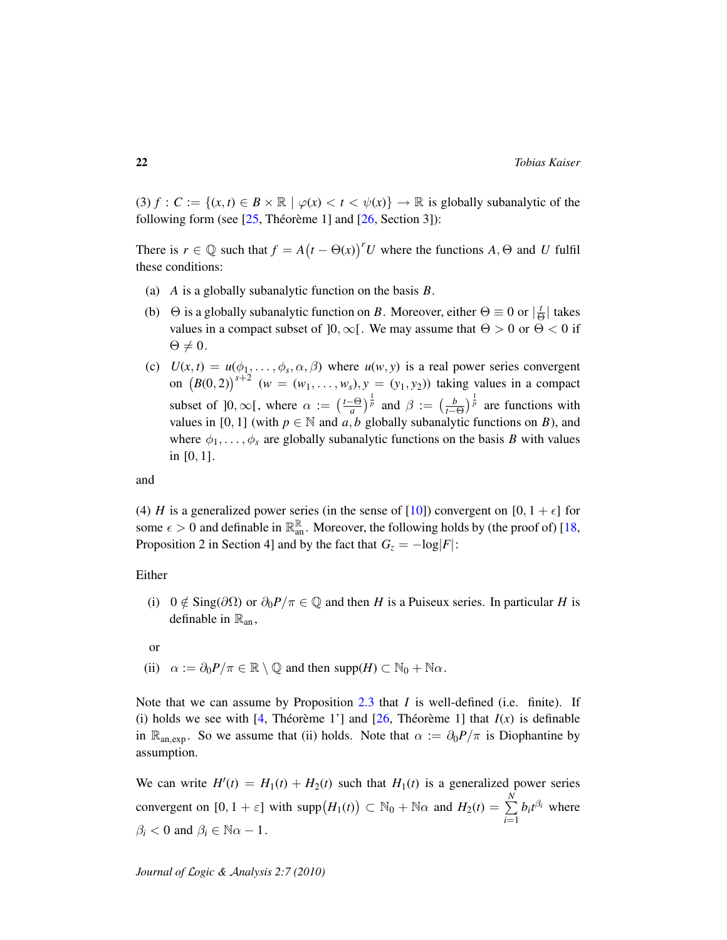(3)  $f: C := \{(x, t) \in B \times \mathbb{R} \mid \varphi(x) < t < \psi(x)\} \to \mathbb{R}$  is globally subanalytic of the following form (see  $[25$ , Théorème 1] and  $[26$ , Section 3]):

There is  $r \in \mathbb{Q}$  such that  $f = A(t - \Theta(x))^r U$  where the functions  $A, \Theta$  and  $U$  fulfil these conditions:

- (a) *A* is a globally subanalytic function on the basis *B*.
- (b)  $\Theta$  is a globally subanalytic function on *B*. Moreover, either  $\Theta \equiv 0$  or  $\frac{1}{\epsilon}$  $\frac{t}{\Theta}$  takes values in a compact subset of  $]0, \infty[$ . We may assume that  $\Theta > 0$  or  $\Theta < 0$  if  $\Theta \neq 0.$
- (c)  $U(x,t) = u(\phi_1, \ldots, \phi_s, \alpha, \beta)$  where  $u(w, y)$  is a real power series convergent on  $(B(0, 2))^{s+2}$  ( $w = (w_1, \ldots, w_s), y = (y_1, y_2)$ ) taking values in a compact subset of  $]0,\infty[$ , where  $\alpha := \left(\frac{t-\Theta}{a}\right)$  $\left(\frac{1}{a} - \theta\right)^{\frac{1}{p}}$  and  $\beta := \left(\frac{b}{t-0}\right)^{\frac{1}{p}}$  are functions with values in [0, 1] (with  $p \in \mathbb{N}$  and a, b globally subanalytic functions on B), and where  $\phi_1, \ldots, \phi_s$  are globally subanalytic functions on the basis *B* with values in [0, 1].

and

(4) *H* is a generalized power series (in the sense of [\[10\]](#page-26-4)) convergent on [0, 1 +  $\epsilon$ ] for some  $\epsilon > 0$  and definable in  $\mathbb{R}^{\mathbb{R}}_{\text{an}}$ . Moreover, the following holds by (the proof of) [\[18,](#page-27-9) Proposition 2 in Section 4] and by the fact that  $G_z = -\log|F|$ :

#### Either

(i)  $0 \notin \text{Sing}(\partial \Omega)$  or  $\partial_0 P/\pi \in \mathbb{Q}$  and then *H* is a Puiseux series. In particular *H* is definable in  $\mathbb{R}_{an}$ ,

or

(ii)  $\alpha := \partial_0 P/\pi \in \mathbb{R} \setminus \mathbb{Q}$  and then supp $(H) \subset \mathbb{N}_0 + \mathbb{N}\alpha$ .

Note that we can assume by Proposition [2.3](#page-8-1) that *I* is well-defined (i.e. finite). If (i) holds we see with [\[4,](#page-26-6) Théorème 1'] and  $[26,$  $[26,$  Théorème 1] that  $I(x)$  is definable in R<sub>an,exp</sub>. So we assume that (ii) holds. Note that  $\alpha := \partial_0 P/\pi$  is Diophantine by assumption.

We can write  $H'(t) = H_1(t) + H_2(t)$  such that  $H_1(t)$  is a generalized power series convergent on  $[0, 1 + \varepsilon]$  with  $\text{supp}(H_1(t)) \subset \mathbb{N}_0 + \mathbb{N}\alpha$  and  $H_2(t) = \sum_{k=1}^{N}$ *i*=1  $b_i t^{\beta_i}$  where  $\beta_i < 0$  and  $\beta_i \in \mathbb{N}\alpha - 1$ .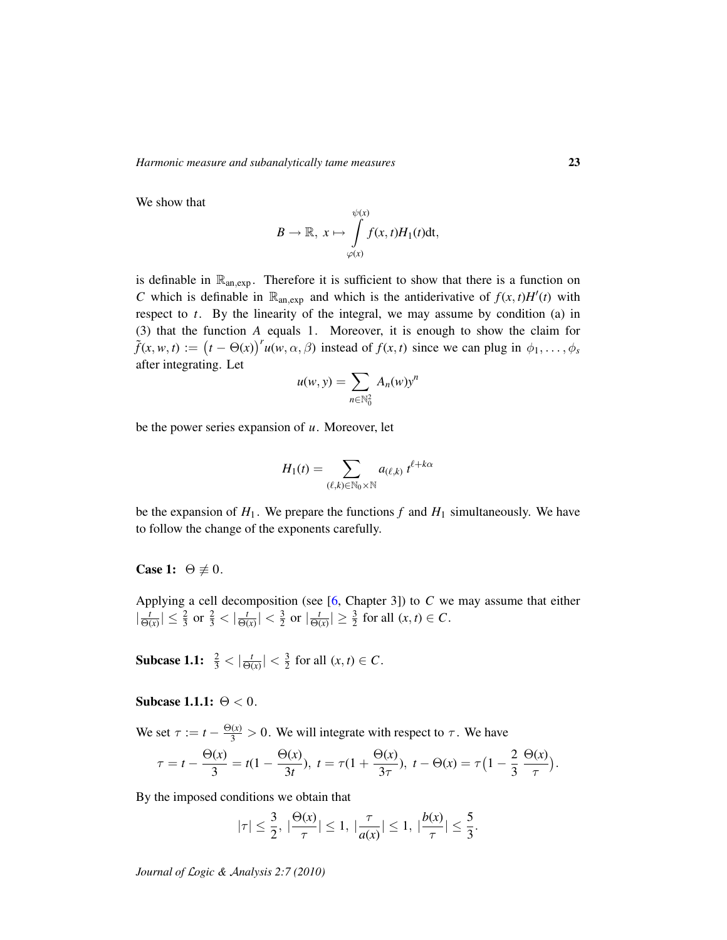We show that

$$
B \to \mathbb{R}, \ x \mapsto \int\limits_{\varphi(x)}^{\psi(x)} f(x, t) H_1(t) dt,
$$

is definable in  $\mathbb{R}_{an,exp}$ . Therefore it is sufficient to show that there is a function on *C* which is definable in  $\mathbb{R}_{an,exp}$  and which is the antiderivative of  $f(x, t)H'(t)$  with respect to *t*. By the linearity of the integral, we may assume by condition (a) in (3) that the function *A* equals 1. Moreover, it is enough to show the claim for  $\tilde{f}(x, w, t) := (t - \Theta(x))^{r} u(w, \alpha, \beta)$  instead of  $f(x, t)$  since we can plug in  $\phi_1, \ldots, \phi_s$ after integrating. Let

$$
u(w, y) = \sum_{n \in \mathbb{N}_0^2} A_n(w) y^n
$$

be the power series expansion of *u*. Moreover, let

$$
H_1(t) = \sum_{(\ell,k)\in\mathbb{N}_0\times\mathbb{N}} a_{(\ell,k)} t^{\ell+k\alpha}
$$

be the expansion of  $H_1$ . We prepare the functions  $f$  and  $H_1$  simultaneously. We have to follow the change of the exponents carefully.

## Case 1:  $\Theta \not\equiv 0$ .

Applying a cell decomposition (see [\[6,](#page-26-3) Chapter 3]) to *C* we may assume that either  $\frac{t}{\Theta}$  $\frac{t}{\Theta(x)} \vert \leq \frac{2}{3}$  or  $\frac{2}{3} < \vert \frac{t}{\Theta(x)} \vert$  $\frac{t}{\Theta(x)}$  |  $\lt \frac{3}{2}$  $rac{3}{2}$  or  $\left| \frac{t}{\Theta} \right|$  $\frac{t}{\Theta(x)} \geq \frac{3}{2}$  for all  $(x, t) \in C$ .

**Subcase 1.1:**  $\frac{2}{3} < |\frac{t}{\Theta(}$  $\frac{t}{\Theta(x)}$  |  $\lt \frac{3}{2}$  $\frac{3}{2}$  for all  $(x, t) \in C$ .

## Subcase 1.1.1:  $\Theta < 0$ .

We set  $\tau := t - \frac{\Theta(x)}{3} > 0$ . We will integrate with respect to  $\tau$ . We have

$$
\tau = t - \frac{\Theta(x)}{3} = t(1 - \frac{\Theta(x)}{3t}), \ t = \tau(1 + \frac{\Theta(x)}{3\tau}), \ t - \Theta(x) = \tau\left(1 - \frac{2}{3}\frac{\Theta(x)}{\tau}\right).
$$

By the imposed conditions we obtain that

$$
|\tau| \le \frac{3}{2}, \ |\frac{\Theta(x)}{\tau}| \le 1, \ |\frac{\tau}{a(x)}| \le 1, \ |\frac{b(x)}{\tau}| \le \frac{5}{3}.
$$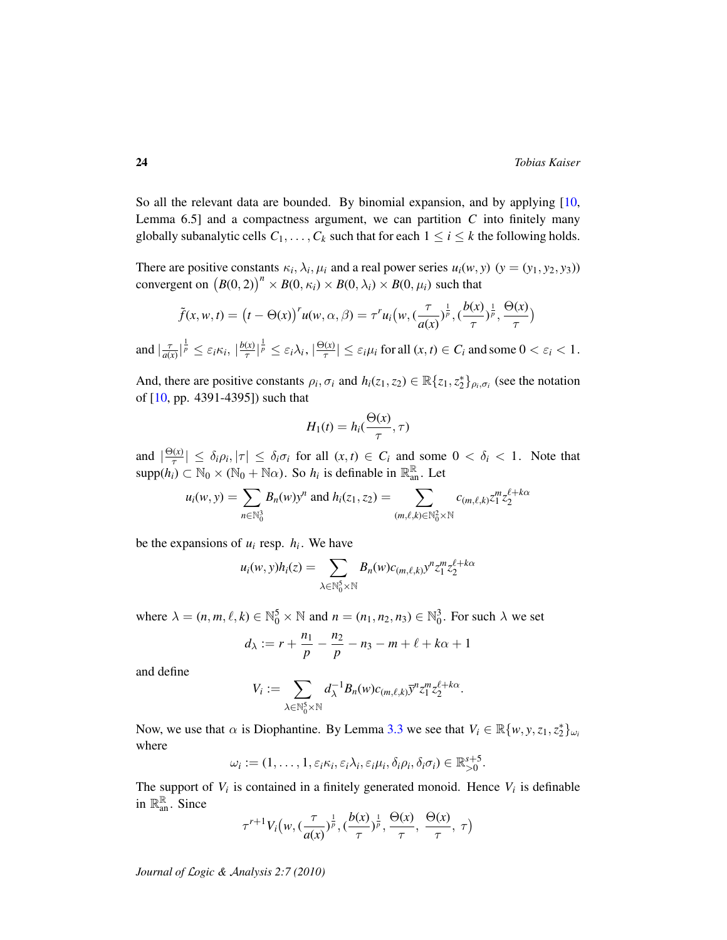So all the relevant data are bounded. By binomial expansion, and by applying  $[10,$ Lemma 6.5] and a compactness argument, we can partition *C* into finitely many globally subanalytic cells  $C_1, \ldots, C_k$  such that for each  $1 \le i \le k$  the following holds.

There are positive constants  $\kappa_i, \lambda_i, \mu_i$  and a real power series  $u_i(w, y)$  ( $y = (y_1, y_2, y_3)$ ) convergent on  $(B(0, 2))^n \times B(0, \kappa_i) \times B(0, \lambda_i) \times B(0, \mu_i)$  such that

$$
\tilde{f}(x, w, t) = (t - \Theta(x))^{r} u(w, \alpha, \beta) = \tau^{r} u_i(w, (\frac{\tau}{a(x)})^{\frac{1}{p}}, (\frac{b(x)}{\tau})^{\frac{1}{p}}, \frac{\Theta(x)}{\tau})
$$

and  $\frac{\tau}{a}$  $\frac{\tau}{a(x)}\Big|_p^{\frac{1}{p}} \leq \varepsilon_i \kappa_i, \Big|\frac{b(x)}{\tau}\Big|_p^{\frac{1}{p}}$  $\frac{f(x)}{\tau}$ <sup> $\vert \frac{1}{p} \leq \varepsilon_i \lambda_i, \vert \frac{\Theta(x)}{\tau} \vert$ </sup>  $\left|\frac{f(x)}{\tau}\right| \leq \varepsilon_i \mu_i$  for all  $(x, t) \in C_i$  and some  $0 < \varepsilon_i < 1$ .

And, there are positive constants  $\rho_i$ ,  $\sigma_i$  and  $h_i(z_1, z_2) \in \mathbb{R}{z_1, z_2^*}_{\rho_i, \sigma_i}$  (see the notation of [\[10,](#page-26-4) pp. 4391-4395]) such that

$$
H_1(t) = h_i(\frac{\Theta(x)}{\tau}, \tau)
$$

and  $\left| \frac{\Theta(x)}{\tau} \right|$  $|\frac{\partial(x)}{\partial \tau}| \leq \delta_i \rho_i, |\tau| \leq \delta_i \sigma_i$  for all  $(x, t) \in C_i$  and some  $0 < \delta_i < 1$ . Note that  $\text{supp}(h_i) \subset \mathbb{N}_0 \times (\mathbb{N}_0 + \mathbb{N}\alpha)$ . So  $h_i$  is definable in  $\mathbb{R}_{\text{an}}^{\mathbb{R}}$ . Let

$$
u_i(w, y) = \sum_{n \in \mathbb{N}_0^3} B_n(w) y^n \text{ and } h_i(z_1, z_2) = \sum_{(m, \ell, k) \in \mathbb{N}_0^2 \times \mathbb{N}} c_{(m, \ell, k)} z_1^m z_2^{\ell + k\alpha}
$$

be the expansions of  $u_i$  resp.  $h_i$ . We have

$$
u_i(w, y)h_i(z) = \sum_{\lambda \in \mathbb{N}_0^5 \times \mathbb{N}} B_n(w)c_{(m,\ell,k)}y^n z_1^m z_2^{\ell + k\alpha}
$$

where  $\lambda = (n, m, \ell, k) \in \mathbb{N}_0^5 \times \mathbb{N}$  and  $n = (n_1, n_2, n_3) \in \mathbb{N}_0^3$ . For such  $\lambda$  we set

$$
d_{\lambda} := r + \frac{n_1}{p} - \frac{n_2}{p} - n_3 - m + \ell + k\alpha + 1
$$

and define

$$
V_i := \sum_{\lambda \in \mathbb{N}_0^5 \times \mathbb{N}} d_{\lambda}^{-1} B_n(w) c_{(m,\ell,k)} \overline{y}^n z_1^m z_2^{\ell + k\alpha}.
$$

Now, we use that  $\alpha$  is Diophantine. By Lemma [3.3](#page-19-1) we see that  $V_i \in \mathbb{R}\{w, y, z_1, z_2^*\}_{\omega_i}$ where

$$
\omega_i := (1,\ldots,1,\varepsilon_i \kappa_i,\varepsilon_i \lambda_i,\varepsilon_i \mu_i,\delta_i \rho_i,\delta_i \sigma_i) \in \mathbb{R}_{>0}^{s+5}.
$$

The support of  $V_i$  is contained in a finitely generated monoid. Hence  $V_i$  is definable in  $\mathbb{R}^{\mathbb{R}}_{\text{an}}$ . Since

$$
\tau^{r+1}V_i\big(w, (\frac{\tau}{a(x)})^{\frac{1}{p}}, (\frac{b(x)}{\tau})^{\frac{1}{p}}, \frac{\Theta(x)}{\tau}, \frac{\Theta(x)}{\tau}, \tau\big)
$$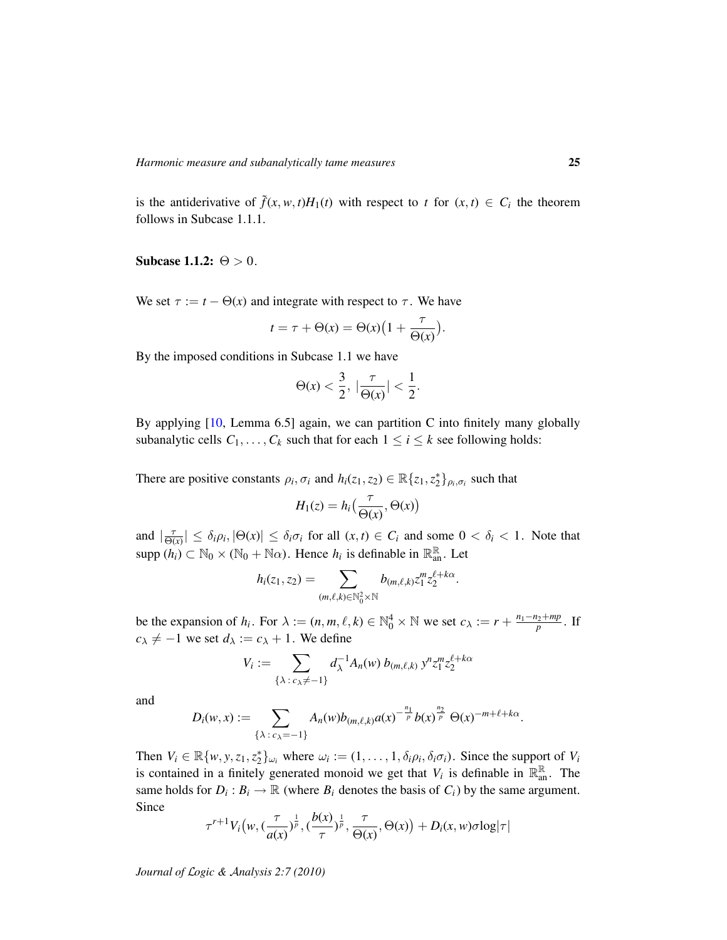is the antiderivative of  $\tilde{f}(x, w, t)H_1(t)$  with respect to  $t$  for  $(x, t) \in C_i$  the theorem follows in Subcase 1.1.1.

## Subcase 1.1.2:  $\Theta > 0$ .

We set  $\tau := t - \Theta(x)$  and integrate with respect to  $\tau$ . We have

$$
t = \tau + \Theta(x) = \Theta(x) \Big( 1 + \frac{\tau}{\Theta(x)} \Big).
$$

By the imposed conditions in Subcase 1.1 we have

$$
\Theta(x)<\frac{3}{2},\ |\frac{\tau}{\Theta(x)}|<\frac{1}{2}.
$$

By applying [\[10,](#page-26-4) Lemma 6.5] again, we can partition C into finitely many globally subanalytic cells  $C_1, \ldots, C_k$  such that for each  $1 \le i \le k$  see following holds:

There are positive constants  $\rho_i$ ,  $\sigma_i$  and  $h_i(z_1, z_2) \in \mathbb{R}{z_1, z_2^*}_{\rho_i, \sigma_i}$  such that

$$
H_1(z) = h_i\left(\frac{\tau}{\Theta(x)}, \Theta(x)\right)
$$

and  $\frac{\tau}{\Theta}$  $\frac{\tau}{\Theta(x)} \leq \delta_i \rho_i$ ,  $|\Theta(x)| \leq \delta_i \sigma_i$  for all  $(x, t) \in C_i$  and some  $0 < \delta_i < 1$ . Note that supp  $(h_i) \subset \mathbb{N}_0 \times (\mathbb{N}_0 + \mathbb{N}\alpha)$ . Hence  $h_i$  is definable in  $\mathbb{R}_{\text{an}}^{\mathbb{R}}$ . Let

$$
h_i(z_1, z_2) = \sum_{(m,\ell,k)\in\mathbb{N}_0^2\times\mathbb{N}} b_{(m,\ell,k)} z_1^m z_2^{\ell+k\alpha}.
$$

be the expansion of  $h_i$ . For  $\lambda := (n, m, \ell, k) \in \mathbb{N}_0^4 \times \mathbb{N}$  we set  $c_{\lambda} := r + \frac{n_1 - n_2 + mp}{p}$ . If  $c_{\lambda} \neq -1$  we set  $d_{\lambda} := c_{\lambda} + 1$ . We define

$$
V_i := \sum_{\{\lambda : c_{\lambda} \neq -1\}} d_{\lambda}^{-1} A_n(w) b_{(m,\ell,k)} y^n z_1^m z_2^{\ell+k\alpha}
$$

and

$$
D_i(w,x):=\sum_{\{\lambda\,:\,c_{\lambda}=-1\}}A_n(w)b_{(m,\ell,k)}a(x)^{-\frac{n_1}{p}}b(x)^{\frac{n_2}{p}}\Theta(x)^{-m+\ell+k\alpha}.
$$

Then  $V_i \in \mathbb{R}\{w, y, z_1, z_2^*\}_{\omega_i}$  where  $\omega_i := (1, \dots, 1, \delta_i \rho_i, \delta_i \sigma_i)$ . Since the support of  $V_i$ is contained in a finitely generated monoid we get that  $V_i$  is definable in  $\mathbb{R}^{\mathbb{R}}_{\text{an}}$ . The same holds for  $D_i$ :  $B_i \to \mathbb{R}$  (where  $B_i$  denotes the basis of  $C_i$ ) by the same argument. Since

$$
\tau^{r+1}V_i\big(w, (\frac{\tau}{a(x)})^{\frac{1}{p}}, (\frac{b(x)}{\tau})^{\frac{1}{p}}, \frac{\tau}{\Theta(x)}, \Theta(x)\big) + D_i(x,w)\sigma \log |\tau|
$$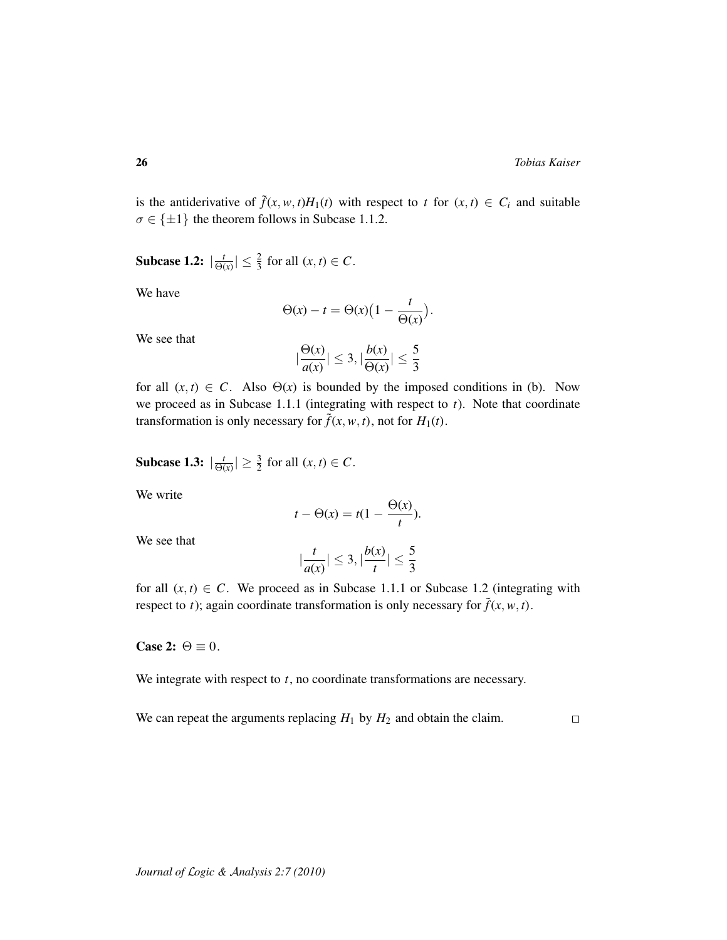is the antiderivative of  $\tilde{f}(x, w, t)H_1(t)$  with respect to  $t$  for  $(x, t) \in C_i$  and suitable  $\sigma \in \{\pm 1\}$  the theorem follows in Subcase 1.1.2.

Subcase 1.2:  $\frac{t}{\Theta}$  $\frac{t}{\Theta(x)} \leq \frac{2}{3}$  for all  $(x, t) \in C$ .

We have

$$
\Theta(x) - t = \Theta(x) \Big( 1 - \frac{t}{\Theta(x)} \Big).
$$

We see that

$$
|\frac{\Theta(x)}{a(x)}| \leq 3, |\frac{b(x)}{\Theta(x)}| \leq \frac{5}{3}
$$

for all  $(x, t) \in C$ . Also  $\Theta(x)$  is bounded by the imposed conditions in (b). Now we proceed as in Subcase 1.1.1 (integrating with respect to *t*). Note that coordinate transformation is only necessary for  $\tilde{f}(x, w, t)$ , not for  $H_1(t)$ .

Subcase 1.3:  $\frac{t}{\Theta}$  $\frac{t}{\Theta(x)} \geq \frac{3}{2}$  for all  $(x, t) \in C$ .

We write

$$
t - \Theta(x) = t(1 - \frac{\Theta(x)}{t}).
$$

We see that

$$
\left|\frac{t}{a(x)}\right| \le 3, \left|\frac{b(x)}{t}\right| \le \frac{5}{3}
$$

for all  $(x, t) \in C$ . We proceed as in Subcase 1.1.1 or Subcase 1.2 (integrating with respect to *t*); again coordinate transformation is only necessary for  $\tilde{f}(x, w, t)$ .

Case 2:  $\Theta \equiv 0$ .

We integrate with respect to *t*, no coordinate transformations are necessary.

We can repeat the arguments replacing  $H_1$  by  $H_2$  and obtain the claim.  $\Box$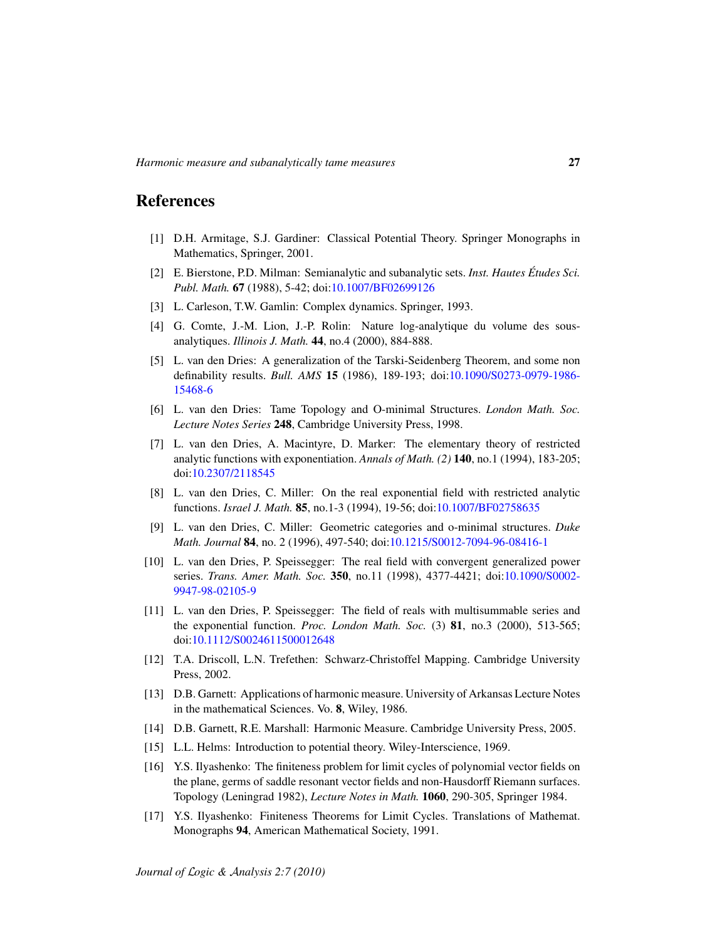# References

- <span id="page-26-7"></span>[1] D.H. Armitage, S.J. Gardiner: Classical Potential Theory. Springer Monographs in Mathematics, Springer, 2001.
- <span id="page-26-9"></span>[2] E. Bierstone, P.D. Milman: Semianalytic and subanalytic sets. *Inst. Hautes Etudes Sci. ´ Publ. Math.* 67 (1988), 5-42; doi[:10.1007/BF02699126](http://dx.doi.org/10.1007/BF02699126)
- <span id="page-26-15"></span>[3] L. Carleson, T.W. Gamlin: Complex dynamics. Springer, 1993.
- <span id="page-26-6"></span>[4] G. Comte, J.-M. Lion, J.-P. Rolin: Nature log-analytique du volume des sousanalytiques. *Illinois J. Math.* 44, no.4 (2000), 884-888.
- <span id="page-26-13"></span>[5] L. van den Dries: A generalization of the Tarski-Seidenberg Theorem, and some non definability results. *Bull. AMS* 15 (1986), 189-193; doi[:10.1090/S0273-0979-1986-](http://dx.doi.org/10.1090/S0273-0979-1986-15468-6) [15468-6](http://dx.doi.org/10.1090/S0273-0979-1986-15468-6)
- <span id="page-26-3"></span>[6] L. van den Dries: Tame Topology and O-minimal Structures. *London Math. Soc. Lecture Notes Series* 248, Cambridge University Press, 1998.
- <span id="page-26-2"></span>[7] L. van den Dries, A. Macintyre, D. Marker: The elementary theory of restricted analytic functions with exponentiation. *Annals of Math. (2)* 140, no.1 (1994), 183-205; doi[:10.2307/2118545](http://dx.doi.org/10.2307/2118545)
- <span id="page-26-1"></span>[8] L. van den Dries, C. Miller: On the real exponential field with restricted analytic functions. *Israel J. Math.* 85, no.1-3 (1994), 19-56; doi[:10.1007/BF02758635](http://dx.doi.org/10.1007/BF02758635)
- <span id="page-26-0"></span>[9] L. van den Dries, C. Miller: Geometric categories and o-minimal structures. *Duke Math. Journal* 84, no. 2 (1996), 497-540; doi[:10.1215/S0012-7094-96-08416-1](http://dx.doi.org/10.1215/S0012-7094-96-08416-1)
- <span id="page-26-4"></span>[10] L. van den Dries, P. Speissegger: The real field with convergent generalized power series. *Trans. Amer. Math. Soc.* 350, no.11 (1998), 4377-4421; doi[:10.1090/S0002-](http://dx.doi.org/10.1090/S0002-9947-98-02105-9) [9947-98-02105-9](http://dx.doi.org/10.1090/S0002-9947-98-02105-9)
- <span id="page-26-5"></span>[11] L. van den Dries, P. Speissegger: The field of reals with multisummable series and the exponential function. *Proc. London Math. Soc.* (3) 81, no.3 (2000), 513-565; doi[:10.1112/S0024611500012648](http://dx.doi.org/10.1112/S0024611500012648)
- <span id="page-26-10"></span>[12] T.A. Driscoll, L.N. Trefethen: Schwarz-Christoffel Mapping. Cambridge University Press, 2002.
- [13] D.B. Garnett: Applications of harmonic measure. University of Arkansas Lecture Notes in the mathematical Sciences. Vo. 8, Wiley, 1986.
- <span id="page-26-8"></span>[14] D.B. Garnett, R.E. Marshall: Harmonic Measure. Cambridge University Press, 2005.
- <span id="page-26-11"></span>[15] L.L. Helms: Introduction to potential theory. Wiley-Interscience, 1969.
- <span id="page-26-14"></span>[16] Y.S. Ilyashenko: The finiteness problem for limit cycles of polynomial vector fields on the plane, germs of saddle resonant vector fields and non-Hausdorff Riemann surfaces. Topology (Leningrad 1982), *Lecture Notes in Math.* 1060, 290-305, Springer 1984.
- <span id="page-26-12"></span>[17] Y.S. Ilyashenko: Finiteness Theorems for Limit Cycles. Translations of Mathemat. Monographs 94, American Mathematical Society, 1991.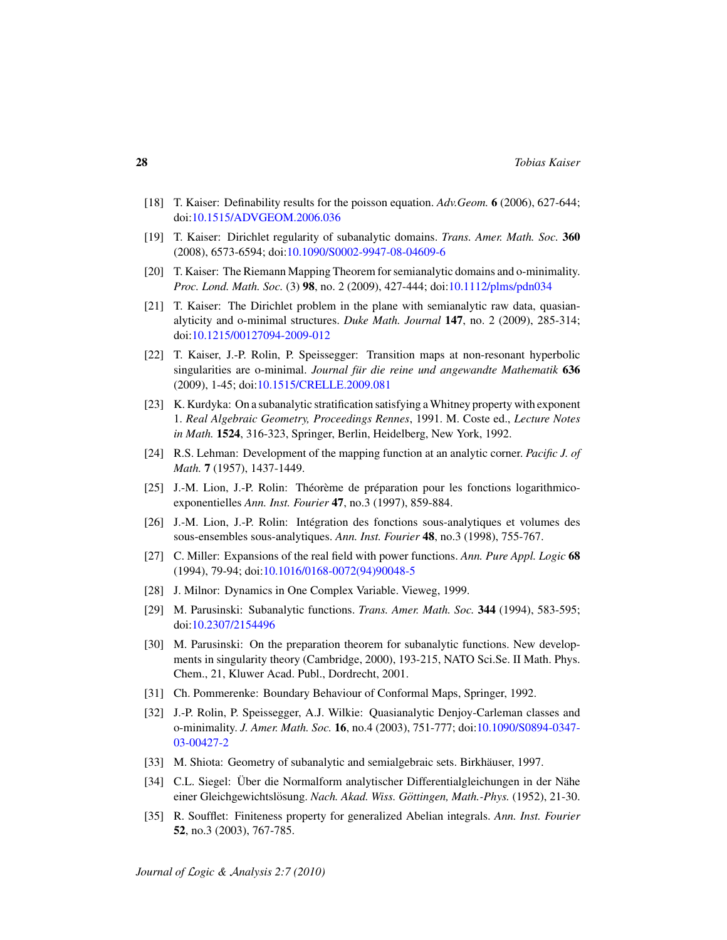- <span id="page-27-9"></span>[18] T. Kaiser: Definability results for the poisson equation. *Adv.Geom.* 6 (2006), 627-644; doi[:10.1515/ADVGEOM.2006.036](http://dx.doi.org/10.1515/ADVGEOM.2006.036)
- <span id="page-27-12"></span>[19] T. Kaiser: Dirichlet regularity of subanalytic domains. *Trans. Amer. Math. Soc.* 360 (2008), 6573-6594; doi[:10.1090/S0002-9947-08-04609-6](http://dx.doi.org/10.1090/S0002-9947-08-04609-6)
- <span id="page-27-13"></span>[20] T. Kaiser: The Riemann Mapping Theorem for semianalytic domains and o-minimality. *Proc. Lond. Math. Soc.* (3) 98, no. 2 (2009), 427-444; doi[:10.1112/plms/pdn034](http://dx.doi.org/10.1112/plms/pdn034)
- <span id="page-27-7"></span>[21] T. Kaiser: The Dirichlet problem in the plane with semianalytic raw data, quasianalyticity and o-minimal structures. *Duke Math. Journal* 147, no. 2 (2009), 285-314; doi[:10.1215/00127094-2009-012](http://dx.doi.org/10.1215/00127094-2009-012)
- <span id="page-27-2"></span>[22] T. Kaiser, J.-P. Rolin, P. Speissegger: Transition maps at non-resonant hyperbolic singularities are o-minimal. *Journal für die reine und angewandte Mathematik* 636 (2009), 1-45; doi[:10.1515/CRELLE.2009.081](http://dx.doi.org/10.1515/CRELLE.2009.081)
- <span id="page-27-8"></span>[23] K. Kurdyka: On a subanalytic stratification satisfying aWhitney property with exponent 1. *Real Algebraic Geometry, Proceedings Rennes*, 1991. M. Coste ed., *Lecture Notes in Math.* 1524, 316-323, Springer, Berlin, Heidelberg, New York, 1992.
- <span id="page-27-15"></span>[24] R.S. Lehman: Development of the mapping function at an analytic corner. *Pacific J. of Math.* 7 (1957), 1437-1449.
- <span id="page-27-4"></span>[25] J.-M. Lion, J.-P. Rolin: Théorème de préparation pour les fonctions logarithmicoexponentielles *Ann. Inst. Fourier* 47, no.3 (1997), 859-884.
- <span id="page-27-3"></span>[26] J.-M. Lion, J.-P. Rolin: Integration des fonctions sous-analytiques et volumes des ´ sous-ensembles sous-analytiques. *Ann. Inst. Fourier* 48, no.3 (1998), 755-767.
- <span id="page-27-6"></span>[27] C. Miller: Expansions of the real field with power functions. *Ann. Pure Appl. Logic* 68 (1994), 79-94; doi[:10.1016/0168-0072\(94\)90048-5](http://dx.doi.org/10.1016/0168-0072(94)90048-5)
- <span id="page-27-17"></span>[28] J. Milnor: Dynamics in One Complex Variable. Vieweg, 1999.
- <span id="page-27-10"></span>[29] M. Parusinski: Subanalytic functions. *Trans. Amer. Math. Soc.* 344 (1994), 583-595; doi[:10.2307/2154496](http://dx.doi.org/10.2307/2154496)
- <span id="page-27-11"></span>[30] M. Parusinski: On the preparation theorem for subanalytic functions. New developments in singularity theory (Cambridge, 2000), 193-215, NATO Sci.Se. II Math. Phys. Chem., 21, Kluwer Acad. Publ., Dordrecht, 2001.
- <span id="page-27-14"></span>[31] Ch. Pommerenke: Boundary Behaviour of Conformal Maps, Springer, 1992.
- <span id="page-27-1"></span>[32] J.-P. Rolin, P. Speissegger, A.J. Wilkie: Quasianalytic Denjoy-Carleman classes and o-minimality. *J. Amer. Math. Soc.* 16, no.4 (2003), 751-777; doi[:10.1090/S0894-0347-](http://dx.doi.org/10.1090/S0894-0347-03-00427-2) [03-00427-2](http://dx.doi.org/10.1090/S0894-0347-03-00427-2)
- <span id="page-27-0"></span>[33] M. Shiota: Geometry of subanalytic and semialgebraic sets. Birkhäuser, 1997.
- <span id="page-27-16"></span>[34] C.L. Siegel: Über die Normalform analytischer Differentialgleichungen in der Nähe einer Gleichgewichtslösung. *Nach. Akad. Wiss. Göttingen, Math.-Phys.* (1952), 21-30.
- <span id="page-27-5"></span>[35] R. Soufflet: Finiteness property for generalized Abelian integrals. *Ann. Inst. Fourier* 52, no.3 (2003), 767-785.